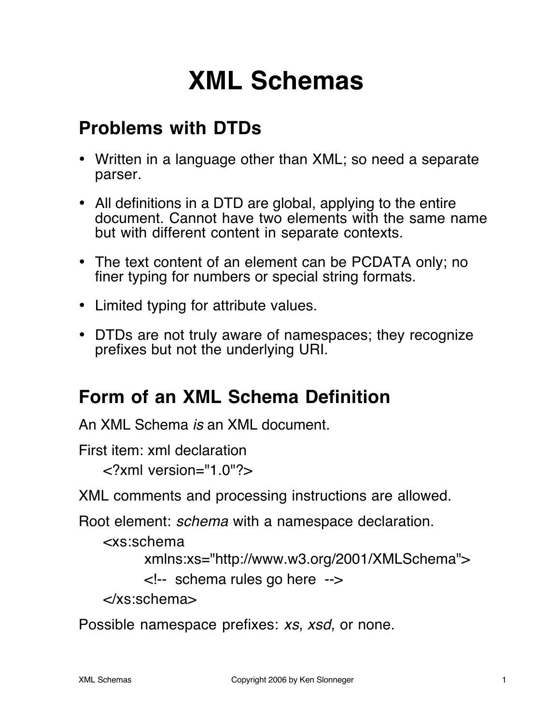# **XML Schemas**

# **Problems with DTDs**

- Written in a language other than XML; so need a separate parser.
- All definitions in a DTD are global, applying to the entire document. Cannot have two elements with the same name but with different content in separate contexts.
- The text content of an element can be PCDATA only; no finer typing for numbers or special string formats.
- Limited typing for attribute values.
- DTDs are not truly aware of namespaces; they recognize prefixes but not the underlying URI.

# **Form of an XML Schema Definition**

An XML Schema is an XML document.

First item: xml declaration

<?xml version="1.0"?>

XML comments and processing instructions are allowed.

Root element: schema with a namespace declaration.

<xs:schema

```
xmlns:xs="http://www.w3.org/2001/XMLSchema">
```
<!-- schema rules go here -->

</xs:schema>

Possible namespace prefixes: xs, xsd, or none.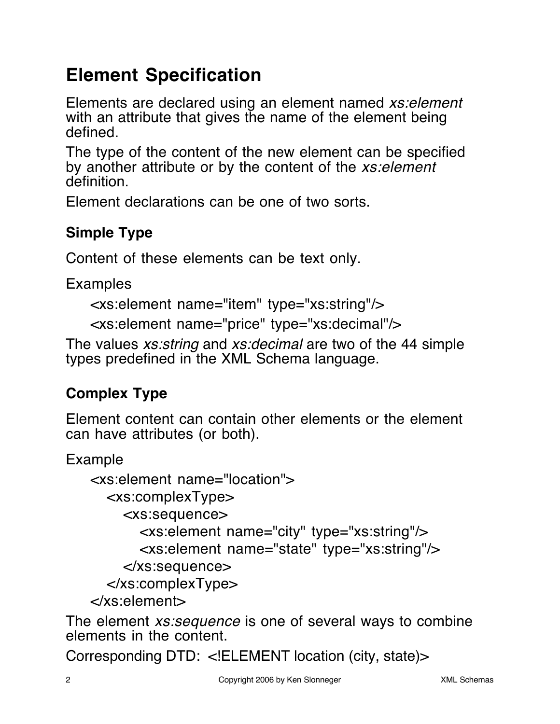# **Element Specification**

Elements are declared using an element named xs:element with an attribute that gives the name of the element being defined.

The type of the content of the new element can be specified by another attribute or by the content of the *xs: element* definition.

Element declarations can be one of two sorts.

### **Simple Type**

Content of these elements can be text only.

Examples

```
<xs:element name="item" type="xs:string"/>
```
<xs:element name="price" type="xs:decimal"/>

The values *xs:string* and *xs:decimal* are two of the 44 simple types predefined in the XML Schema language.

### **Complex Type**

Element content can contain other elements or the element can have attributes (or both).

Example

```
<xs:element name="location">
  <xs:complexType>
    <xs:sequence>
       <xs:element name="city" type="xs:string"/>
      <xs:element name="state" type="xs:string"/>
    </xs:sequence>
  </xs:complexType>
</xs:element>
```
The element *xs:sequence* is one of several ways to combine elements in the content.

Corresponding DTD: <!ELEMENT location (city, state)>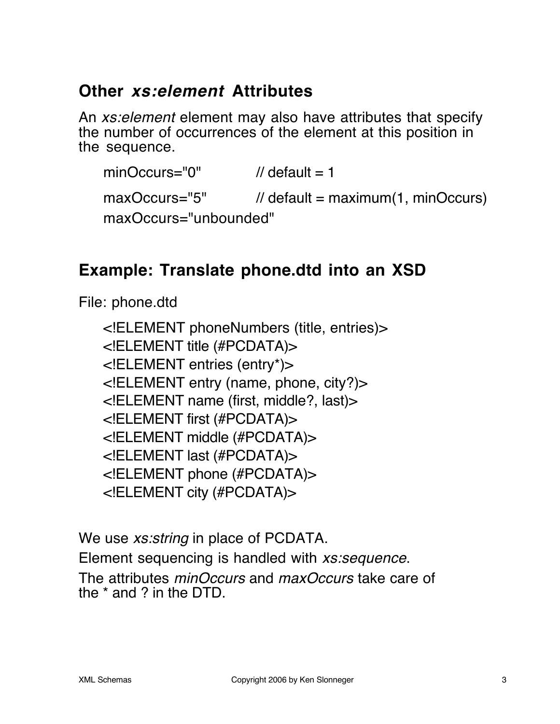### **Other xs:element Attributes**

An *xs: element* element may also have attributes that specify the number of occurrences of the element at this position in the sequence.

 $minOccurs="0"$  // default = 1 maxOccurs="5" // default = maximum(1, minOccurs) maxOccurs="unbounded"

### **Example: Translate phone.dtd into an XSD**

File: phone.dtd

<!ELEMENT phoneNumbers (title, entries)> <!ELEMENT title (#PCDATA)> <!ELEMENT entries (entry\*)> <!ELEMENT entry (name, phone, city?)> <!ELEMENT name (first, middle?, last)> <!ELEMENT first (#PCDATA)> <!ELEMENT middle (#PCDATA)> <!ELEMENT last (#PCDATA)> <!ELEMENT phone (#PCDATA)> <!ELEMENT city (#PCDATA)>

We use *xs:string* in place of PCDATA.

Element sequencing is handled with xs: sequence.

The attributes *minOccurs* and *maxOccurs* take care of the \* and ? in the DTD.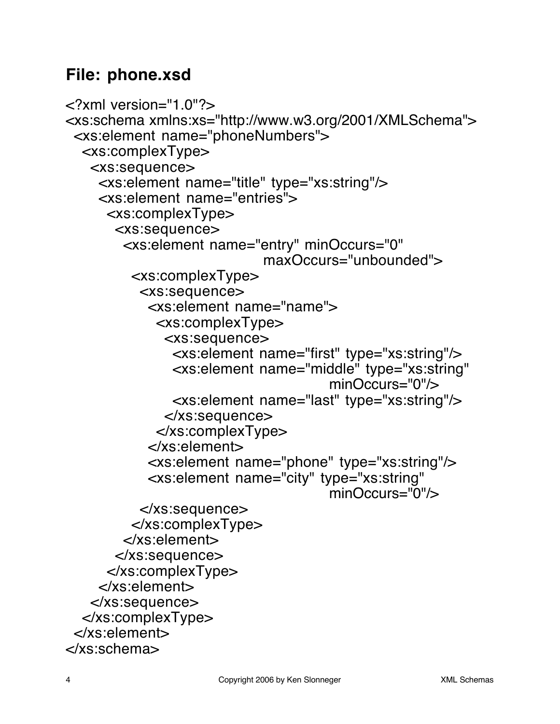### **File: phone.xsd**

```
<?xml version="1.0"?>
<xs:schema xmlns:xs="http://www.w3.org/2001/XMLSchema">
 <xs:element name="phoneNumbers">
  <xs:complexType>
   <xs:sequence>
    <xs:element name="title" type="xs:string"/>
    <xs:element name="entries">
     <xs:complexType>
      <xs:sequence>
        <xs:element name="entry" minOccurs="0"
                           maxOccurs="unbounded">
         <xs:complexType>
          <xs:sequence>
           <xs:element name="name">
            <xs:complexType>
             <xs:sequence>
              <xs:element name="first" type="xs:string"/>
              <xs:element name="middle" type="xs:string"
                                    minOccurs="0"/>
              <xs:element name="last" type="xs:string"/>
             </xs:sequence>
            </xs:complexType>
           </xs:element>
           <xs:element name="phone" type="xs:string"/>
           <xs:element name="city" type="xs:string"
                                    minOccurs="0"/>
          </xs:sequence>
         </xs:complexType>
        </xs:element>
      </xs:sequence>
     </xs:complexType>
    </xs:element>
   </xs:sequence>
  </xs:complexType>
 </xs:element>
</xs:schema>
```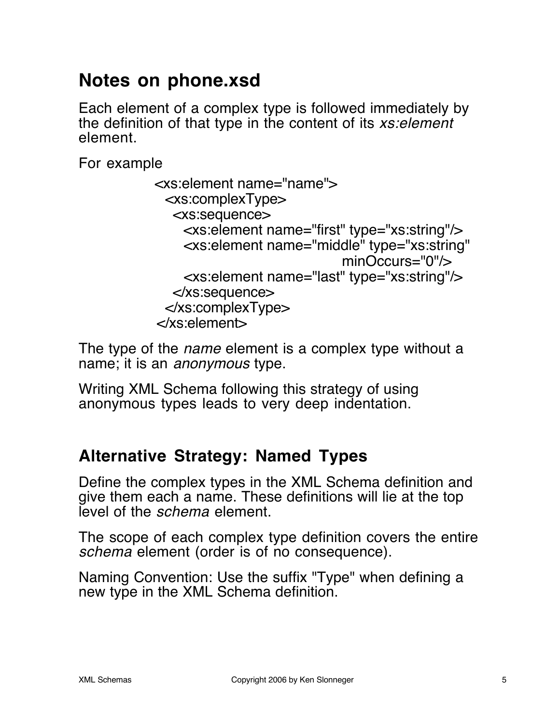# **Notes on phone.xsd**

Each element of a complex type is followed immediately by the definition of that type in the content of its xs: element element.

For example

```
 <xs:element name="name">
  <xs:complexType>
   <xs:sequence>
     <xs:element name="first" type="xs:string"/>
     <xs:element name="middle" type="xs:string"
                            minOccurs="0"/>
     <xs:element name="last" type="xs:string"/>
   </xs:sequence>
  </xs:complexType>
 </xs:element>
```
The type of the *name* element is a complex type without a name; it is an anonymous type.

Writing XML Schema following this strategy of using anonymous types leads to very deep indentation.

### **Alternative Strategy: Named Types**

Define the complex types in the XML Schema definition and give them each a name. These definitions will lie at the top level of the schema element.

The scope of each complex type definition covers the entire schema element (order is of no consequence).

Naming Convention: Use the suffix "Type" when defining a new type in the XML Schema definition.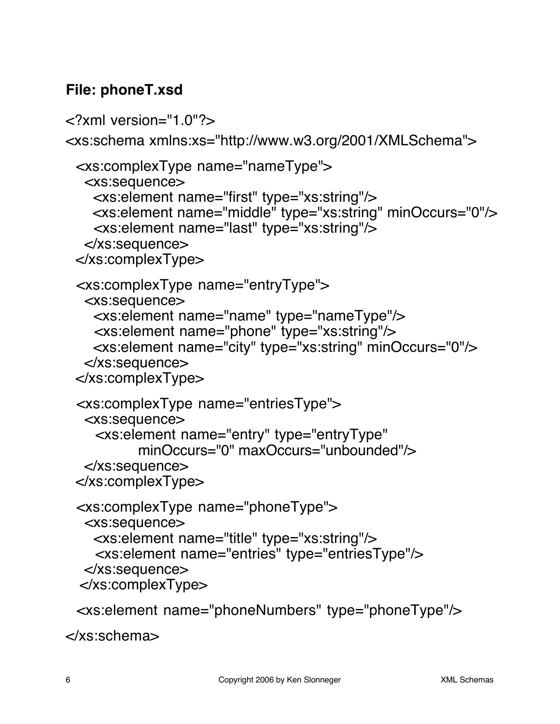#### **File: phoneT.xsd**

```
<?xml version="1.0"?>
<xs:schema xmlns:xs="http://www.w3.org/2001/XMLSchema">
  <xs:complexType name="nameType">
   <xs:sequence>
    <xs:element name="first" type="xs:string"/>
    <xs:element name="middle" type="xs:string" minOccurs="0"/>
     <xs:element name="last" type="xs:string"/>
   </xs:sequence>
  </xs:complexType>
  <xs:complexType name="entryType">
   <xs:sequence>
     <xs:element name="name" type="nameType"/>
     <xs:element name="phone" type="xs:string"/>
     <xs:element name="city" type="xs:string" minOccurs="0"/>
   </xs:sequence>
  </xs:complexType>
  <xs:complexType name="entriesType">
   <xs:sequence>
     <xs:element name="entry" type="entryType"
           minOccurs="0" maxOccurs="unbounded"/>
   </xs:sequence>
  </xs:complexType>
  <xs:complexType name="phoneType">
   <xs:sequence>
     <xs:element name="title" type="xs:string"/>
     <xs:element name="entries" type="entriesType"/>
   </xs:sequence>
  </xs:complexType>
```
<xs:element name="phoneNumbers" type="phoneType"/>

</xs:schema>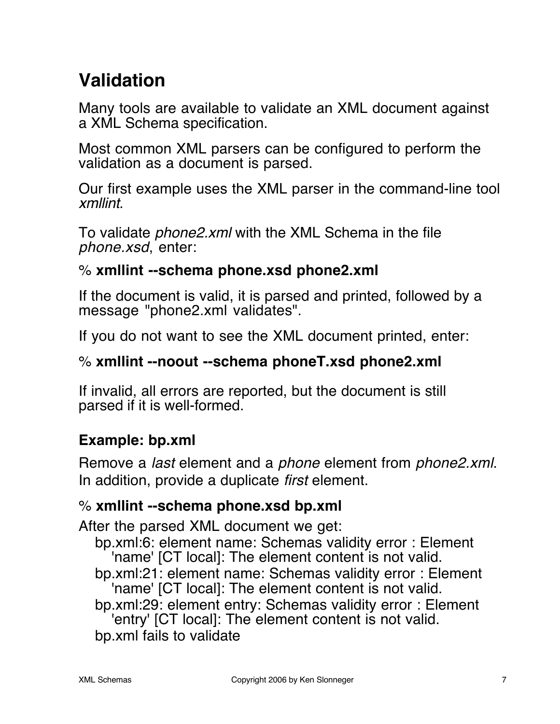# **Validation**

Many tools are available to validate an XML document against a XML Schema specification.

Most common XML parsers can be configured to perform the validation as a document is parsed.

Our first example uses the XML parser in the command-line tool xmllint.

To validate *phone2.xml* with the XML Schema in the file phone.xsd, enter:

#### % **xmllint --schema phone.xsd phone2.xml**

If the document is valid, it is parsed and printed, followed by a message "phone2.xml validates".

If you do not want to see the XML document printed, enter:

#### % **xmllint --noout --schema phoneT.xsd phone2.xml**

If invalid, all errors are reported, but the document is still parsed if it is well-formed.

#### **Example: bp.xml**

Remove a *last* element and a *phone* element from *phone2.xml*. In addition, provide a duplicate *first* element.

#### % **xmllint --schema phone.xsd bp.xml**

After the parsed XML document we get:

- bp.xml:6: element name: Schemas validity error : Element 'name' [CT local]: The element content is not valid.
- bp.xml:21: element name: Schemas validity error : Element 'name' [CT local]: The element content is not valid.
- bp.xml:29: element entry: Schemas validity error : Element 'entry' [CT local]: The element content is not valid.

bp.xml fails to validate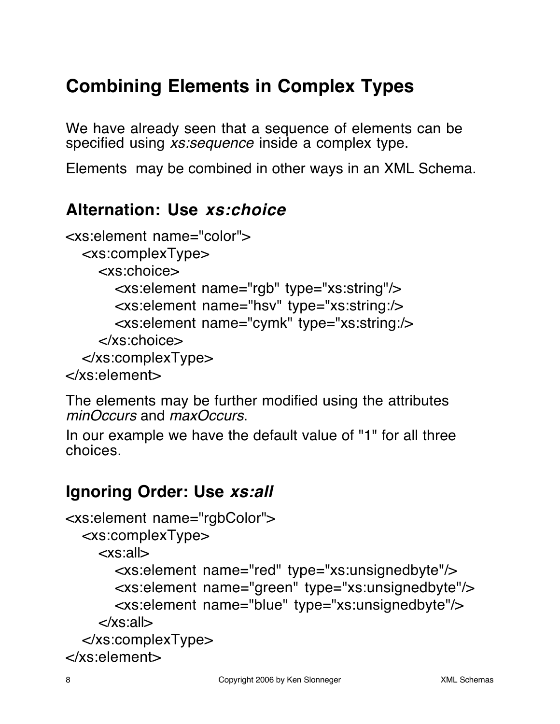# **Combining Elements in Complex Types**

We have already seen that a sequence of elements can be specified using *xs:sequence* inside a complex type.

Elements may be combined in other ways in an XML Schema.

### **Alternation: Use xs:choice**

```
<xs:element name="color">
  <xs:complexType>
    <xs:choice>
      <xs:element name="rgb" type="xs:string"/>
      <xs:element name="hsv" type="xs:string:/>
      <xs:element name="cymk" type="xs:string:/>
    </xs:choice>
  </xs:complexType>
</xs:element>
```
The elements may be further modified using the attributes minOccurs and maxOccurs.

In our example we have the default value of "1" for all three choices.

### **Ignoring Order: Use xs:all**

```
<xs:element name="rgbColor">
  <xs:complexType>
    <xs:all>
      <xs:element name="red" type="xs:unsignedbyte"/>
      <xs:element name="green" type="xs:unsignedbyte"/>
      <xs:element name="blue" type="xs:unsignedbyte"/>
    </xs:all>
  </xs:complexType>
</xs:element>
```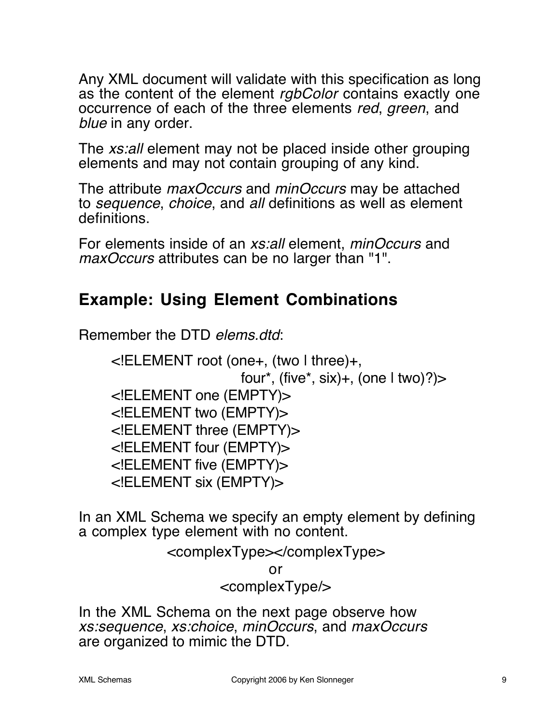Any XML document will validate with this specification as long as the content of the element rgbColor contains exactly one occurrence of each of the three elements red, green, and blue in any order.

The xs:all element may not be placed inside other grouping elements and may not contain grouping of any kind.

The attribute *maxOccurs* and *minOccurs* may be attached to sequence, choice, and all definitions as well as element definitions.

For elements inside of an *xs:all* element, *minOccurs* and maxOccurs attributes can be no larger than "1".

### **Example: Using Element Combinations**

Remember the DTD elems.dtd:

<!ELEMENT root (one+, (two | three)+, four\*, (five\*, six)+, (one  $| \text{ two}$ ) $\rangle$ <!ELEMENT one (EMPTY)> <!ELEMENT two (EMPTY)> <!ELEMENT three (EMPTY)> <!ELEMENT four (EMPTY)> <!ELEMENT five (EMPTY)> <!ELEMENT six (EMPTY)>

In an XML Schema we specify an empty element by defining a complex type element with no content.

#### <complexType></complexType>

or

#### <complexType/>

In the XML Schema on the next page observe how xs:sequence, xs:choice, minOccurs, and maxOccurs are organized to mimic the DTD.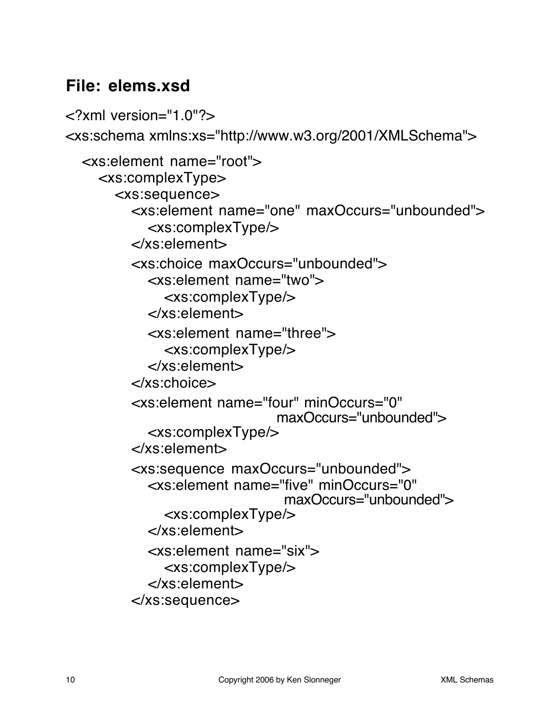### **File: elems.xsd**

<?xml version="1.0"?> <xs:schema xmlns:xs="http://www.w3.org/2001/XMLSchema"> <xs:element name="root"> <xs:complexType> <xs:sequence> <xs:element name="one" maxOccurs="unbounded"> <xs:complexType/> </xs:element> <xs:choice maxOccurs="unbounded"> <xs:element name="two"> <xs:complexType/> </xs:element> <xs:element name="three"> <xs:complexType/> </xs:element> </xs:choice> <xs:element name="four" minOccurs="0" maxOccurs="unbounded"> <xs:complexType/> </xs:element> <xs:sequence maxOccurs="unbounded"> <xs:element name="five" minOccurs="0" maxOccurs="unbounded"> <xs:complexType/> </xs:element> <xs:element name="six"> <xs:complexType/> </xs:element> </xs:sequence>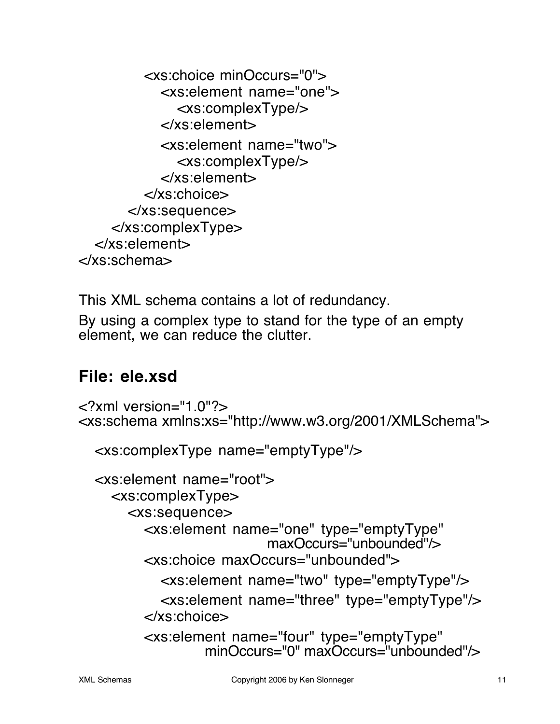<xs:choice minOccurs="0"> <xs:element name="one"> <xs:complexType/> </xs:element> <xs:element name="two"> <xs:complexType/> </xs:element> </xs:choice> </xs:sequence> </xs:complexType> </xs:element> </xs:schema>

This XML schema contains a lot of redundancy.

By using a complex type to stand for the type of an empty element, we can reduce the clutter.

### **File: ele.xsd**

```
<?xml version="1.0"?>
<xs:schema xmlns:xs="http://www.w3.org/2001/XMLSchema">
  <xs:complexType name="emptyType"/>
  <xs:element name="root">
    <xs:complexType>
      <xs:sequence>
        <xs:element name="one" type="emptyType"
                          maxOccurs="unbounded"/>
        <xs:choice maxOccurs="unbounded">
           <xs:element name="two" type="emptyType"/>
           <xs:element name="three" type="emptyType"/>
        </xs:choice>
        <xs:element name="four" type="emptyType"
                  minOccurs="0" maxOccurs="unbounded"/>
```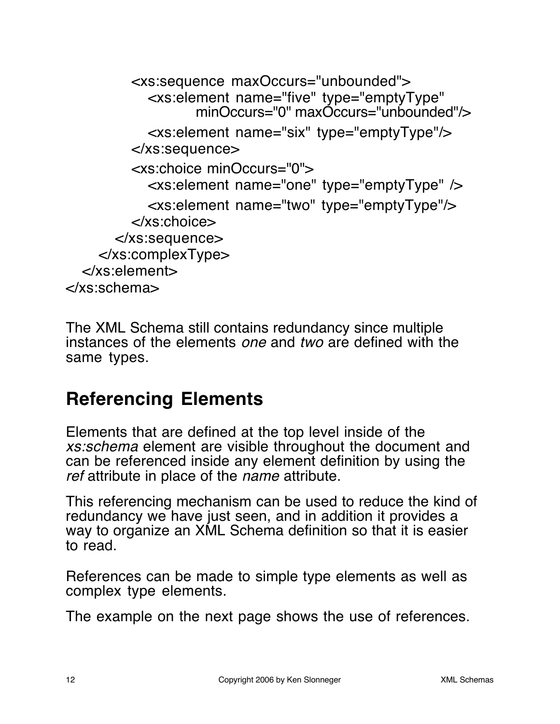```
<xs:sequence maxOccurs="unbounded">
           <xs:element name="five" type="emptyType"
                  minOccurs="0" maxOccurs="unbounded"/>
           <xs:element name="six" type="emptyType"/>
        </xs:sequence>
        <xs:choice minOccurs="0">
           <xs:element name="one" type="emptyType" />
           <xs:element name="two" type="emptyType"/>
        </xs:choice>
      </xs:sequence>
    </xs:complexType>
  </xs:element>
</xs:schema>
```
The XML Schema still contains redundancy since multiple instances of the elements one and two are defined with the same types.

# **Referencing Elements**

Elements that are defined at the top level inside of the xs:schema element are visible throughout the document and can be referenced inside any element definition by using the ref attribute in place of the *name* attribute.

This referencing mechanism can be used to reduce the kind of redundancy we have just seen, and in addition it provides a way to organize an XML Schema definition so that it is easier to read.

References can be made to simple type elements as well as complex type elements.

The example on the next page shows the use of references.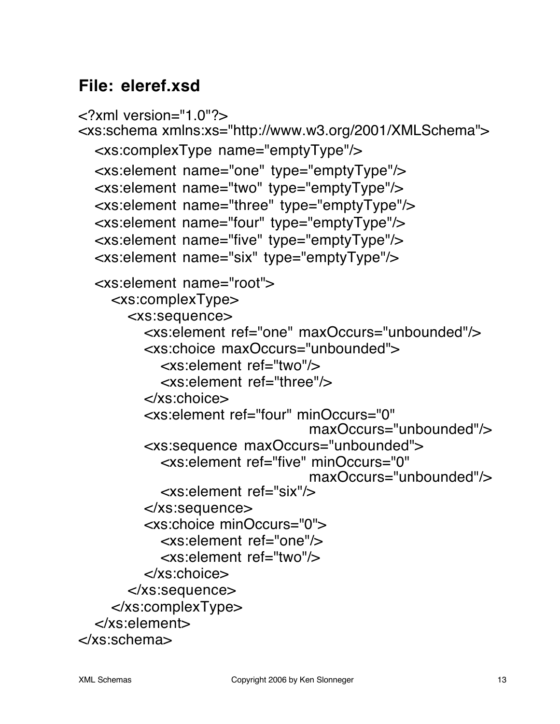### **File: eleref.xsd**

```
<?xml version="1.0"?>
<xs:schema xmlns:xs="http://www.w3.org/2001/XMLSchema">
  <xs:complexType name="emptyType"/>
  <xs:element name="one" type="emptyType"/>
  <xs:element name="two" type="emptyType"/>
  <xs:element name="three" type="emptyType"/>
  <xs:element name="four" type="emptyType"/>
  <xs:element name="five" type="emptyType"/>
  <xs:element name="six" type="emptyType"/>
  <xs:element name="root">
    <xs:complexType>
      <xs:sequence>
         <xs:element ref="one" maxOccurs="unbounded"/>
         <xs:choice maxOccurs="unbounded">
           <xs:element ref="two"/>
           <xs:element ref="three"/>
         </xs:choice>
         <xs:element ref="four" minOccurs="0"
                               maxOccurs="unbounded"/>
         <xs:sequence maxOccurs="unbounded">
           <xs:element ref="five" minOccurs="0"
                               maxOccurs="unbounded"/>
           <xs:element ref="six"/>
         </xs:sequence>
         <xs:choice minOccurs="0">
           <xs:element ref="one"/>
           <xs:element ref="two"/>
         </xs:choice>
      </xs:sequence>
    </xs:complexType>
  </xs:element>
</xs:schema>
```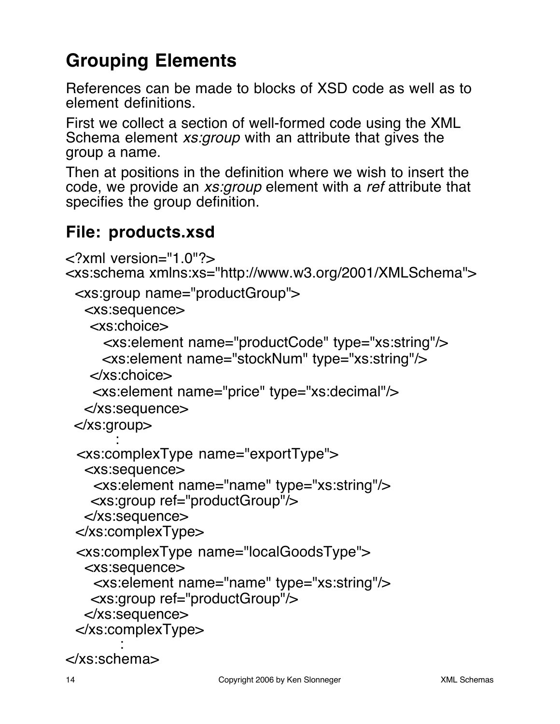# **Grouping Elements**

References can be made to blocks of XSD code as well as to element definitions.

First we collect a section of well-formed code using the XML Schema element xs:group with an attribute that gives the group a name.

Then at positions in the definition where we wish to insert the code, we provide an xs:group element with a ref attribute that specifies the group definition.

### **File: products.xsd**

```
<?xml version="1.0"?>
<xs:schema xmlns:xs="http://www.w3.org/2001/XMLSchema">
  <xs:group name="productGroup">
   <xs:sequence>
    <xs:choice>
      <xs:element name="productCode" type="xs:string"/>
      <xs:element name="stockNum" type="xs:string"/>
    </xs:choice>
     <xs:element name="price" type="xs:decimal"/>
   </xs:sequence>
  </xs:group>
       :
  <xs:complexType name="exportType">
   <xs:sequence>
     <xs:element name="name" type="xs:string"/>
    <xs:group ref="productGroup"/>
   </xs:sequence>
  </xs:complexType>
  <xs:complexType name="localGoodsType">
   <xs:sequence>
     <xs:element name="name" type="xs:string"/>
    <xs:group ref="productGroup"/>
   </xs:sequence>
  </xs:complexType>
        :
```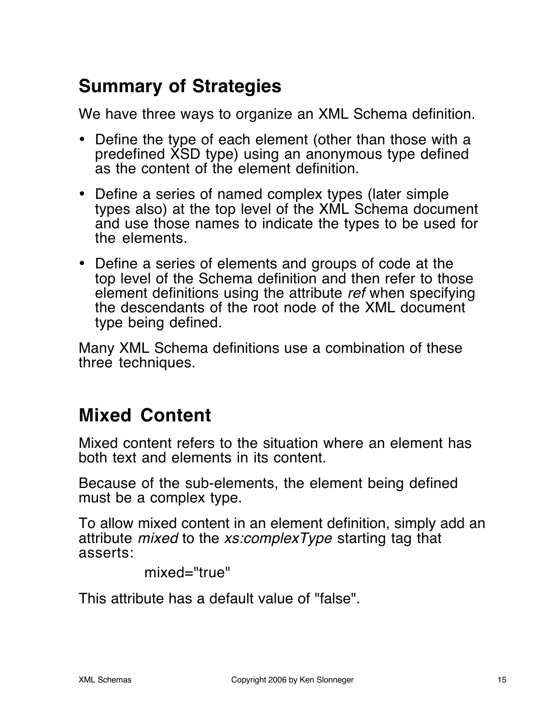# **Summary of Strategies**

We have three ways to organize an XML Schema definition.

- Define the type of each element (other than those with a predefined XSD type) using an anonymous type defined as the content of the element definition.
- Define a series of named complex types (later simple types also) at the top level of the XML Schema document and use those names to indicate the types to be used for the elements.
- Define a series of elements and groups of code at the top level of the Schema definition and then refer to those element definitions using the attribute ref when specifying the descendants of the root node of the XML document type being defined.

Many XML Schema definitions use a combination of these three techniques.

# **Mixed Content**

Mixed content refers to the situation where an element has both text and elements in its content.

Because of the sub-elements, the element being defined must be a complex type.

To allow mixed content in an element definition, simply add an attribute *mixed* to the *xs:complexType* starting tag that asserts:

mixed="true"

This attribute has a default value of "false".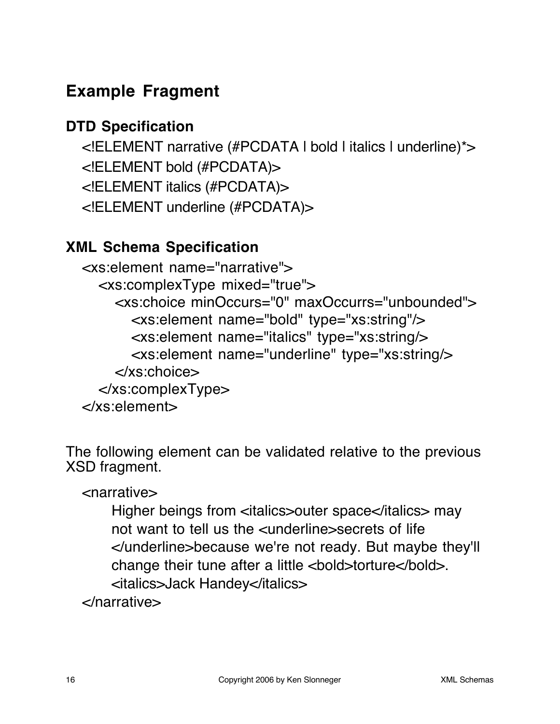# **Example Fragment**

#### **DTD Specification**

<!ELEMENT narrative (#PCDATA | bold | italics | underline)\*> <!ELEMENT bold (#PCDATA)> <!ELEMENT italics (#PCDATA)> <!ELEMENT underline (#PCDATA)>

#### **XML Schema Specification**

<xs:element name="narrative"> <xs:complexType mixed="true"> <xs:choice minOccurs="0" maxOccurrs="unbounded"> <xs:element name="bold" type="xs:string"/> <xs:element name="italics" type="xs:string/> <xs:element name="underline" type="xs:string/> </xs:choice> </xs:complexType> </xs:element>

The following element can be validated relative to the previous XSD fragment.

<narrative>

Higher beings from <italics>outer space</italics> may not want to tell us the <underline>secrets of life </underline>because we're not ready. But maybe they'll change their tune after a little <bold>torture</bold>. <italics>Jack Handey</italics>

</narrative>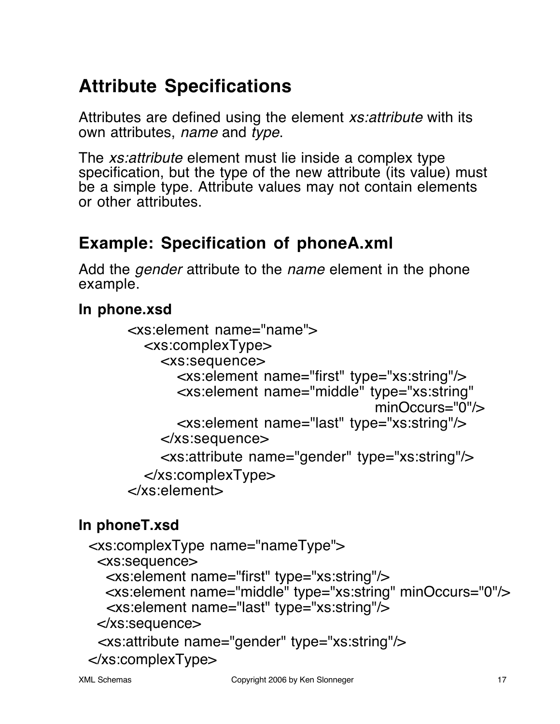# **Attribute Specifications**

Attributes are defined using the element *xs:attribute* with its own attributes, name and type.

The *xs: attribute* element must lie inside a complex type specification, but the type of the new attribute (its value) must be a simple type. Attribute values may not contain elements or other attributes.

### **Example: Specification of phoneA.xml**

Add the *gender* attribute to the *name* element in the phone example.

#### **In phone.xsd**

```
<xs:element name="name">
  <xs:complexType>
    <xs:sequence>
       <xs:element name="first" type="xs:string"/>
       <xs:element name="middle" type="xs:string"
                                   minOccurs="0"/>
       <xs:element name="last" type="xs:string"/>
    </xs:sequence>
    <xs:attribute name="gender" type="xs:string"/>
  </xs:complexType>
</xs:element>
```
### **In phoneT.xsd**

```
 <xs:complexType name="nameType">
  <xs:sequence>
   <xs:element name="first" type="xs:string"/>
   <xs:element name="middle" type="xs:string" minOccurs="0"/>
   <xs:element name="last" type="xs:string"/>
  </xs:sequence>
  <xs:attribute name="gender" type="xs:string"/>
 </xs:complexType>
```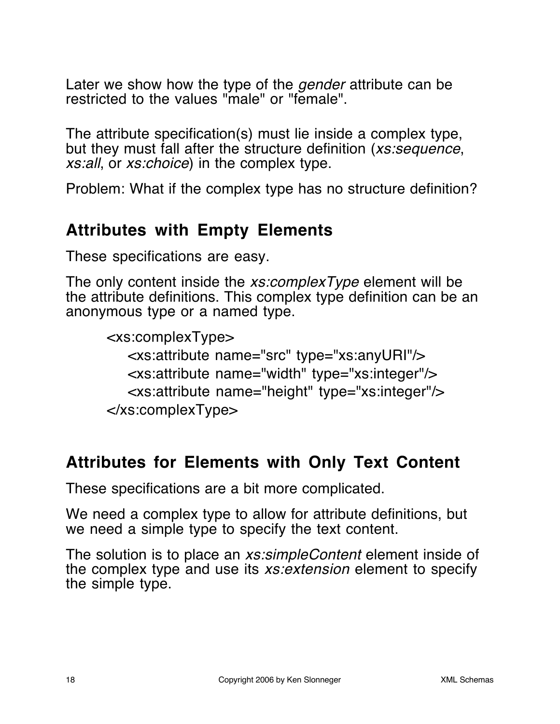Later we show how the type of the gender attribute can be restricted to the values "male" or "female".

The attribute specification(s) must lie inside a complex type, but they must fall after the structure definition (xs:sequence, xs:all, or xs:choice) in the complex type.

Problem: What if the complex type has no structure definition?

#### **Attributes with Empty Elements**

These specifications are easy.

The only content inside the *xs:complexType* element will be the attribute definitions. This complex type definition can be an anonymous type or a named type.

```
<xs:complexType>
   <xs:attribute name="src" type="xs:anyURI"/>
   <xs:attribute name="width" type="xs:integer"/>
   <xs:attribute name="height" type="xs:integer"/>
</xs:complexType>
```
### **Attributes for Elements with Only Text Content**

These specifications are a bit more complicated.

We need a complex type to allow for attribute definitions, but we need a simple type to specify the text content.

The solution is to place an *xs:simpleContent* element inside of the complex type and use its *xs: extension* element to specify the simple type.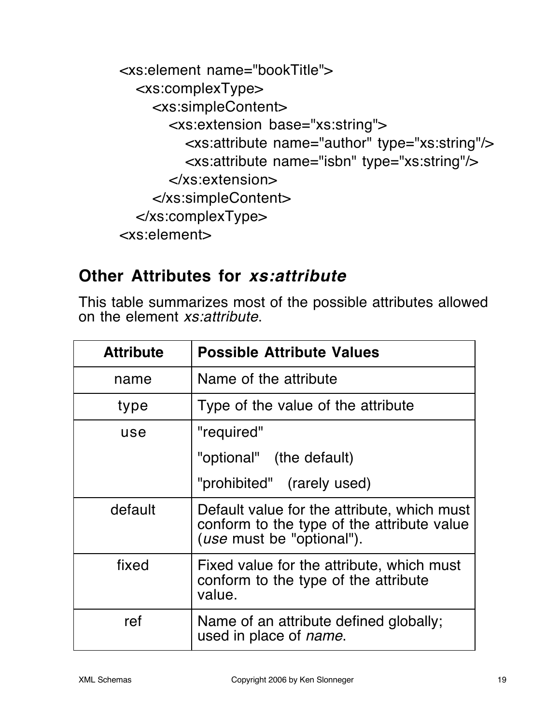<xs:element name="bookTitle"> <xs:complexType> <xs:simpleContent> <xs:extension base="xs:string"> <xs:attribute name="author" type="xs:string"/> <xs:attribute name="isbn" type="xs:string"/> </xs:extension> </xs:simpleContent> </xs:complexType> <xs:element>

### **Other Attributes for xs:attribute**

This table summarizes most of the possible attributes allowed on the element xs:attribute.

| <b>Attribute</b> | <b>Possible Attribute Values</b>                                                                                               |  |
|------------------|--------------------------------------------------------------------------------------------------------------------------------|--|
| name             | Name of the attribute                                                                                                          |  |
| type             | Type of the value of the attribute                                                                                             |  |
| use              | "required"                                                                                                                     |  |
|                  | "optional" (the default)                                                                                                       |  |
|                  | "prohibited" (rarely used)                                                                                                     |  |
| default          | Default value for the attribute, which must<br>conform to the type of the attribute value<br>( <i>use</i> must be "optional"). |  |
| fixed            | Fixed value for the attribute, which must<br>conform to the type of the attribute<br>value.                                    |  |
| ref              | Name of an attribute defined globally;<br>used in place of <i>name</i> .                                                       |  |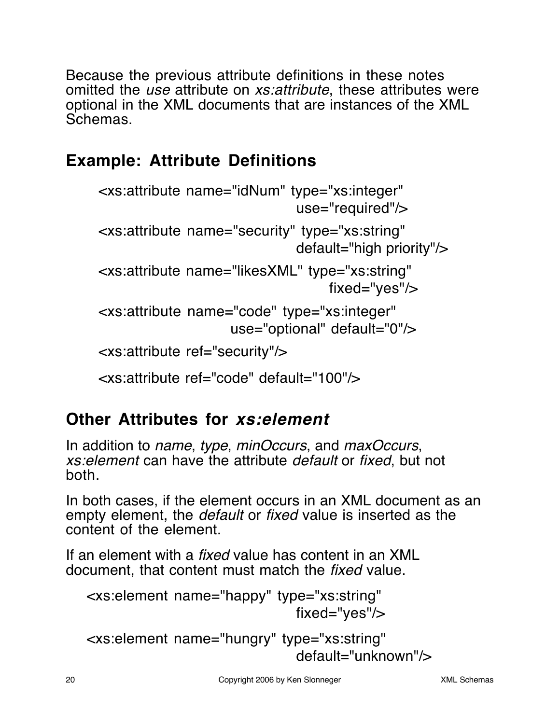Because the previous attribute definitions in these notes omitted the use attribute on xs:attribute, these attributes were optional in the XML documents that are instances of the XML Schemas.

# **Example: Attribute Definitions**

```
<xs:attribute name="idNum" type="xs:integer"
                             use="required"/>
<xs:attribute name="security" type="xs:string"
                             default="high priority"/>
<xs:attribute name="likesXML" type="xs:string"
                                  fixed="yes"/>
<xs:attribute name="code" type="xs:integer"
                   use="optional" default="0"/>
```

```
<xs:attribute ref="security"/>
```
<xs:attribute ref="code" default="100"/>

# **Other Attributes for xs:element**

In addition to *name, type, minOccurs*, and *maxOccurs*, xs:element can have the attribute default or fixed, but not both.

In both cases, if the element occurs in an XML document as an empty element, the *default* or *fixed* value is inserted as the content of the element.

If an element with a fixed value has content in an XML document, that content must match the fixed value.

```
<xs:element name="happy" type="xs:string"
                              fixed="yes"/>
```

```
<xs:element name="hungry" type="xs:string"
                             default="unknown"/>
```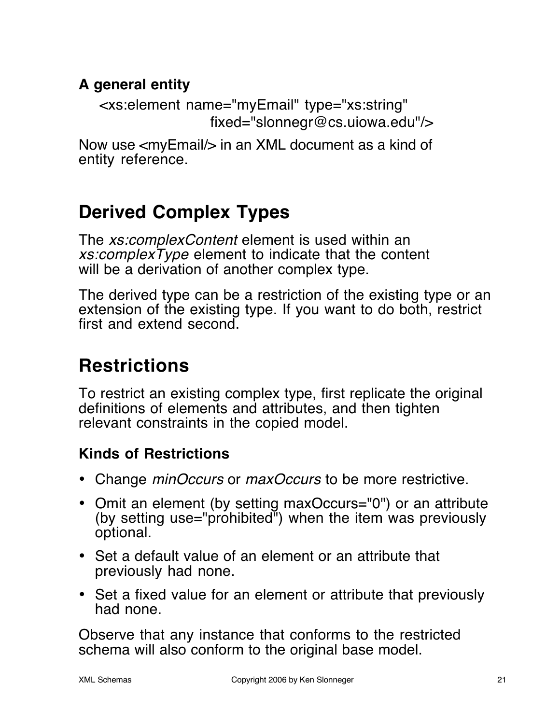#### **A general entity**

<xs:element name="myEmail" type="xs:string" fixed="slonnegr@cs.uiowa.edu"/>

Now use <myEmail/> in an XML document as a kind of entity reference.

# **Derived Complex Types**

The *xs:complexContent* element is used within an xs:complexType element to indicate that the content will be a derivation of another complex type.

The derived type can be a restriction of the existing type or an extension of the existing type. If you want to do both, restrict first and extend second.

# **Restrictions**

To restrict an existing complex type, first replicate the original definitions of elements and attributes, and then tighten relevant constraints in the copied model.

#### **Kinds of Restrictions**

- Change *minOccurs* or *maxOccurs* to be more restrictive.
- Omit an element (by setting maxOccurs="0") or an attribute (by setting use="prohibited") when the item was previously optional.
- Set a default value of an element or an attribute that previously had none.
- Set a fixed value for an element or attribute that previously had none.

Observe that any instance that conforms to the restricted schema will also conform to the original base model.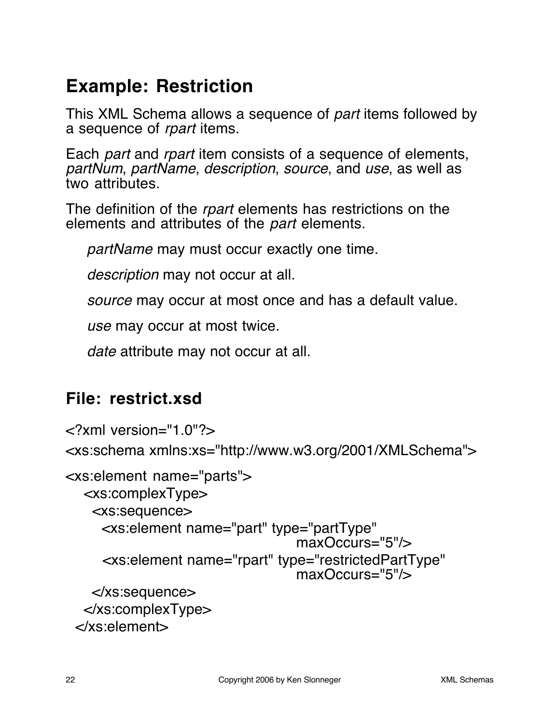# **Example: Restriction**

This XML Schema allows a sequence of part items followed by a sequence of rpart items.

Each *part* and *rpart* item consists of a sequence of elements, partNum, partName, description, source, and use, as well as two attributes.

The definition of the rpart elements has restrictions on the elements and attributes of the part elements.

partName may must occur exactly one time.

description may not occur at all.

source may occur at most once and has a default value.

use may occur at most twice.

date attribute may not occur at all.

### **File: restrict.xsd**

```
<?xml version="1.0"?>
<xs:schema xmlns:xs="http://www.w3.org/2001/XMLSchema">
<xs:element name="parts">
   <xs:complexType>
    <xs:sequence>
      <xs:element name="part" type="partType"
                                 maxOccurs="5"/>
      <xs:element name="rpart" type="restrictedPartType"
                                 maxOccurs="5"/>
    </xs:sequence>
   </xs:complexType>
  </xs:element>
```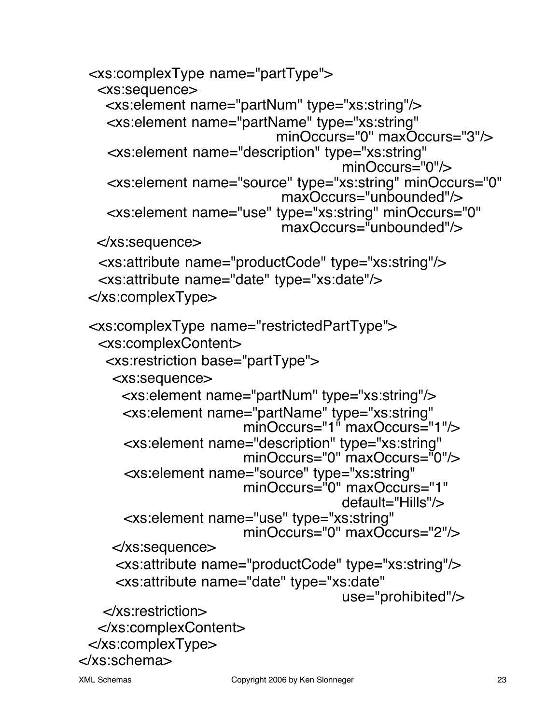```
 <xs:complexType name="partType">
   <xs:sequence>
    <xs:element name="partNum" type="xs:string"/>
     <xs:element name="partName" type="xs:string"
                            minOccurs="0" maxOccurs="3"/>
     <xs:element name="description" type="xs:string"
                                      minOccurs="0"/>
     <xs:element name="source" type="xs:string" minOccurs="0"
                             maxOccurs="unbounded"/>
     <xs:element name="use" type="xs:string" minOccurs="0"
                             maxOccurs="unbounded"/>
   </xs:sequence>
   <xs:attribute name="productCode" type="xs:string"/>
   <xs:attribute name="date" type="xs:date"/>
  </xs:complexType>
  <xs:complexType name="restrictedPartType">
   <xs:complexContent>
    <xs:restriction base="partType">
     <xs:sequence>
       <xs:element name="partNum" type="xs:string"/>
       <xs:element name="partName" type="xs:string"
                        minOccurs="1" maxOccurs="1"/>
       <xs:element name="description" type="xs:string"
                        minOccurs="0" maxOccurs="0"/>
       <xs:element name="source" type="xs:string"
                        minOccurs="0" maxOccurs="1"
                                      default="Hills"/>
       <xs:element name="use" type="xs:string"
                        minOccurs="0" maxOccurs="2"/>
     </xs:sequence>
      <xs:attribute name="productCode" type="xs:string"/>
      <xs:attribute name="date" type="xs:date"
                                      use="prohibited"/>
    </xs:restriction>
   </xs:complexContent>
  </xs:complexType>
</xs:schema>
```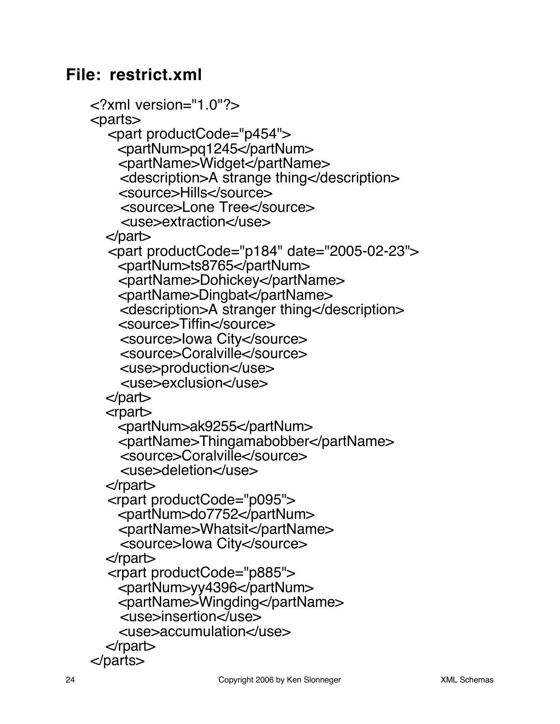#### **File: restrict.xml**

```
<?xml version="1.0"?>
<parts>
   <part productCode="p454">
     <partNum>pq1245</partNum>
     <partName>Widget</partName>
     <description>A strange thing</description>
     <source>Hills</source>
     <source>Lone Tree</source>
     <use>extraction</use>
   </part>
   <part productCode="p184" date="2005-02-23">
     <partNum>ts8765</partNum>
     <partName>Dohickey</partName>
     <partName>Dingbat</partName>
     <description>A stranger thing</description>
     <source>Tiffin</source>
     <source>Iowa City</source>
     <source>Coralville</source>
     <use>production</use>
     <use>exclusion</use>
   </part>
   <rpart>
     <partNum>ak9255</partNum>
     <partName>Thingamabobber</partName>
     <source>Coralville</source>
     <use>deletion</use>
   </rpart>
   <rpart productCode="p095">
     <partNum>do7752</partNum>
     <partName>Whatsit</partName>
     <source>Iowa City</source>
   </rpart>
   <rpart productCode="p885">
     <partNum>yy4396</partNum>
     <partName>Wingding</partName>
     <use>insertion</use>
     <use>accumulation</use>
   </rpart>
</parts>
```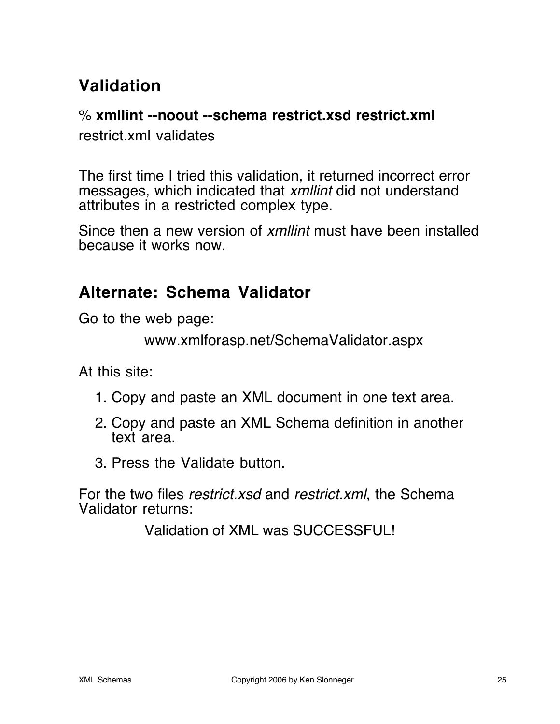# **Validation**

#### % **xmllint --noout --schema restrict.xsd restrict.xml**

restrict.xml validates

The first time I tried this validation, it returned incorrect error messages, which indicated that xmllint did not understand attributes in a restricted complex type.

Since then a new version of xmllint must have been installed because it works now.

### **Alternate: Schema Validator**

Go to the web page:

```
www.xmlforasp.net/SchemaValidator.aspx
```
At this site:

- 1. Copy and paste an XML document in one text area.
- 2. Copy and paste an XML Schema definition in another text area.
- 3. Press the Validate button.

For the two files restrict xsd and restrict xml, the Schema Validator returns:

Validation of XML was SUCCESSFUL!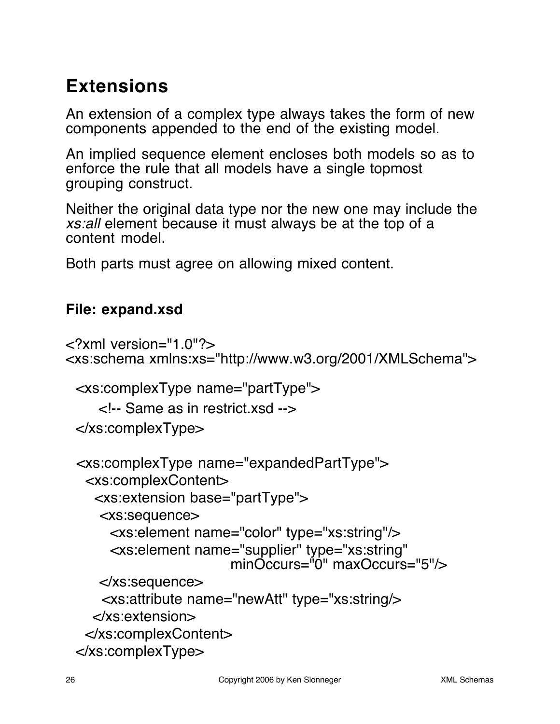# **Extensions**

An extension of a complex type always takes the form of new components appended to the end of the existing model.

An implied sequence element encloses both models so as to enforce the rule that all models have a single topmost grouping construct.

Neither the original data type nor the new one may include the xs:all element because it must always be at the top of a content model.

Both parts must agree on allowing mixed content.

#### **File: expand.xsd**

```
\leq?xml version="1.0"?><xs:schema xmlns:xs="http://www.w3.org/2001/XMLSchema">
  <xs:complexType name="partType">
    <!-- Same as in restrict.xsd -->
  </xs:complexType>
  <xs:complexType name="expandedPartType">
   <xs:complexContent>
     <xs:extension base="partType">
      <xs:sequence>
       <xs:element name="color" type="xs:string"/>
       <xs:element name="supplier" type="xs:string"
                        minOccurs="0" maxOccurs="5"/>
      </xs:sequence>
      <xs:attribute name="newAtt" type="xs:string/>
     </xs:extension>
   </xs:complexContent>
  </xs:complexType>
```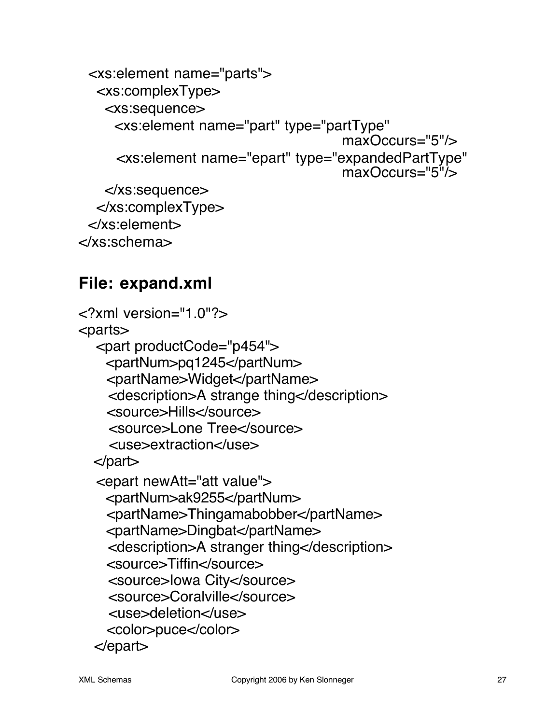```
 <xs:element name="parts">
  <xs:complexType>
   <xs:sequence>
    <xs:element name="part" type="partType"
                                    maxOccurs="5"/>
     <xs:element name="epart" type="expandedPartType"
                                    maxOccurs="5"/>
   </xs:sequence>
  </xs:complexType>
 </xs:element>
```

```
</xs:schema>
```
### **File: expand.xml**

```
<?xml version="1.0"?>
<parts>
   <part productCode="p454">
     <partNum>pq1245</partNum>
     <partName>Widget</partName>
     <description>A strange thing</description>
     <source>Hills</source>
     <source>Lone Tree</source>
     <use>extraction</use>
   </part>
   <epart newAtt="att value">
     <partNum>ak9255</partNum>
     <partName>Thingamabobber</partName>
     <partName>Dingbat</partName>
     <description>A stranger thing</description>
     <source>Tiffin</source>
     <source>Iowa City</source>
     <source>Coralville</source>
     <use>deletion</use>
     <color>puce</color>
   </epart>
```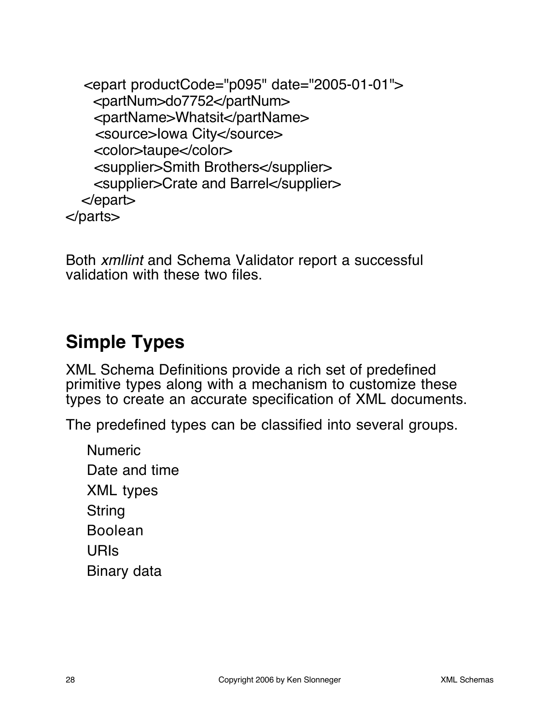<epart productCode="p095" date="2005-01-01"> <partNum>do7752</partNum> <partName>Whatsit</partName> <source>Iowa City</source> <color>taupe</color> <supplier>Smith Brothers</supplier> <supplier>Crate and Barrel</supplier> </epart> </parts>

Both xmllint and Schema Validator report a successful validation with these two files.

# **Simple Types**

XML Schema Definitions provide a rich set of predefined primitive types along with a mechanism to customize these types to create an accurate specification of XML documents.

The predefined types can be classified into several groups.

Numeric Date and time XML types **String** Boolean URIs Binary data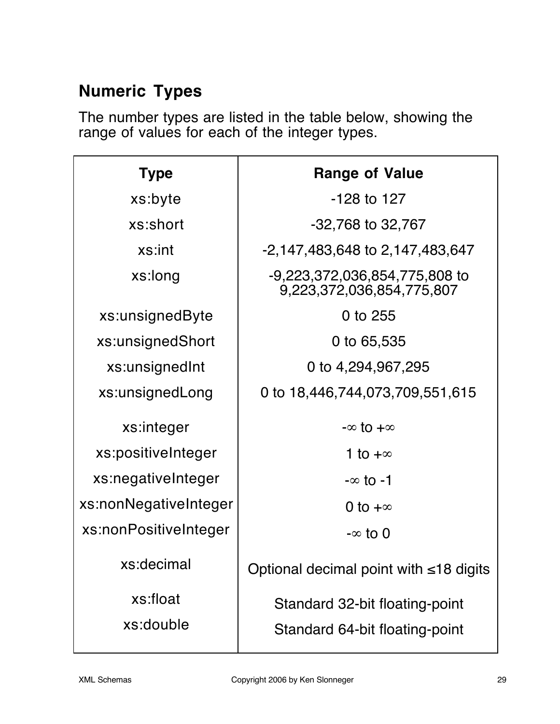### **Numeric Types**

The number types are listed in the table below, showing the range of values for each of the integer types.

| <b>Type</b>           | <b>Range of Value</b>                                      |
|-----------------------|------------------------------------------------------------|
| xs:byte               | $-128$ to 127                                              |
| xs:short              | $-32,768$ to $32,767$                                      |
| xs:int                | -2,147,483,648 to 2,147,483,647                            |
| xs:long               | -9,223,372,036,854,775,808 to<br>9,223,372,036,854,775,807 |
| xs:unsignedByte       | 0 to 255                                                   |
| xs:unsignedShort      | 0 to 65,535                                                |
| xs:unsignedInt        | 0 to 4,294,967,295                                         |
| xs:unsignedLong       | 0 to 18,446,744,073,709,551,615                            |
| xs:integer            | $-\infty$ to $+\infty$                                     |
| xs:positiveInteger    | 1 to $+\infty$                                             |
| xs:negativeInteger    | $-\infty$ to $-1$                                          |
| xs:nonNegativeInteger | 0 to $+\infty$                                             |
| xs:nonPositiveInteger | $-\infty$ to 0                                             |
| xs:decimal            | Optional decimal point with $\leq 18$ digits               |
| xs:float              | Standard 32-bit floating-point                             |
| xs:double             | Standard 64-bit floating-point                             |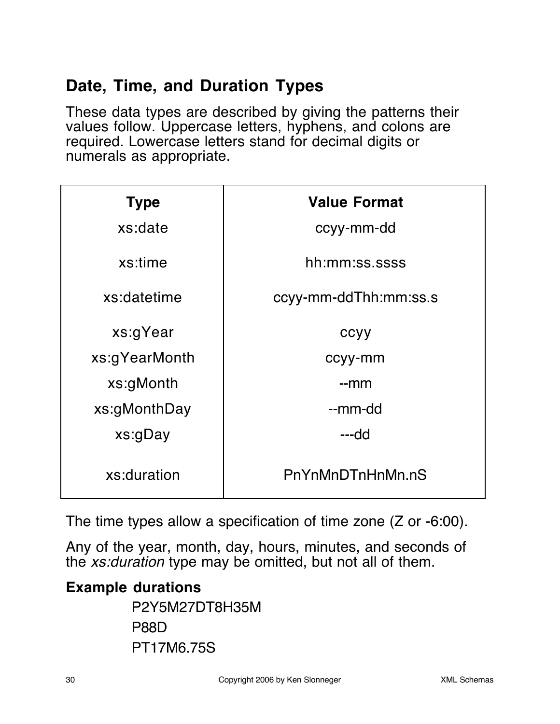### **Date, Time, and Duration Types**

These data types are described by giving the patterns their values follow. Uppercase letters, hyphens, and colons are required. Lowercase letters stand for decimal digits or numerals as appropriate.

| <b>Type</b>   | <b>Value Format</b>   |
|---------------|-----------------------|
| xs:date       | ccyy-mm-dd            |
| xs:time       | hh:mm:ss.ssss         |
| xs:datetime   | ccyy-mm-ddThh:mm:ss.s |
| xs:gYear      | ccyy                  |
| xs:gYearMonth | ccyy-mm               |
| xs:gMonth     | $-mm$                 |
| xs:gMonthDay  | --mm-dd               |
| xs:gDay       | ---dd                 |
| xs:duration   | PnYnMnDTnHnMn.nS      |

The time types allow a specification of time zone (Z or -6:00).

Any of the year, month, day, hours, minutes, and seconds of the xs:duration type may be omitted, but not all of them.

#### **Example durations**

P2Y5M27DT8H35M P88D PT17M6.75S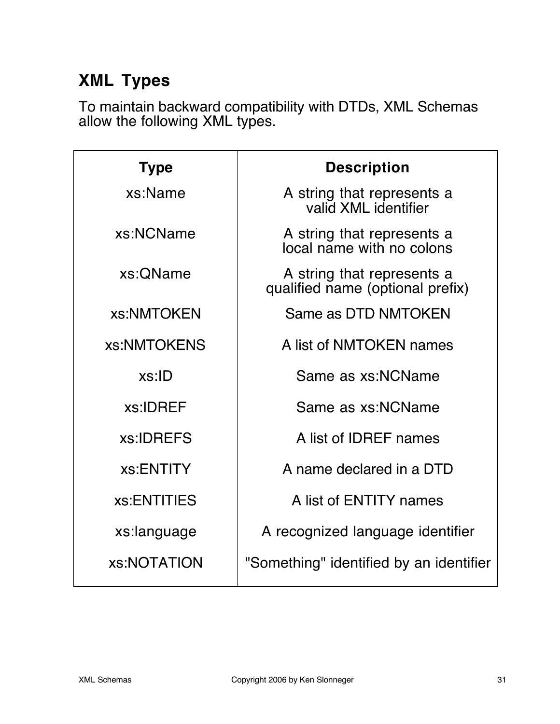# **XML Types**

To maintain backward compatibility with DTDs, XML Schemas allow the following XML types.

| <b>Type</b> | <b>Description</b>                                             |
|-------------|----------------------------------------------------------------|
| xs:Name     | A string that represents a<br>valid XML identifier             |
| xs:NCName   | A string that represents a<br>local name with no colons        |
| xs: OName   | A string that represents a<br>qualified name (optional prefix) |
| xs:NMTOKEN  | Same as DTD NMTOKEN                                            |
| xs:NMTOKENS | A list of NMTOKEN names                                        |
| xs:ID       | Same as xs:NCName                                              |
| xs:IDREF    | Same as xs:NCName                                              |
| xs:IDREFS   | A list of IDREF names                                          |
| xs:ENTITY   | A name declared in a DTD                                       |
| xs:ENTITIES | A list of ENTITY names                                         |
| xs:language | A recognized language identifier                               |
| xs:NOTATION | "Something" identified by an identifier                        |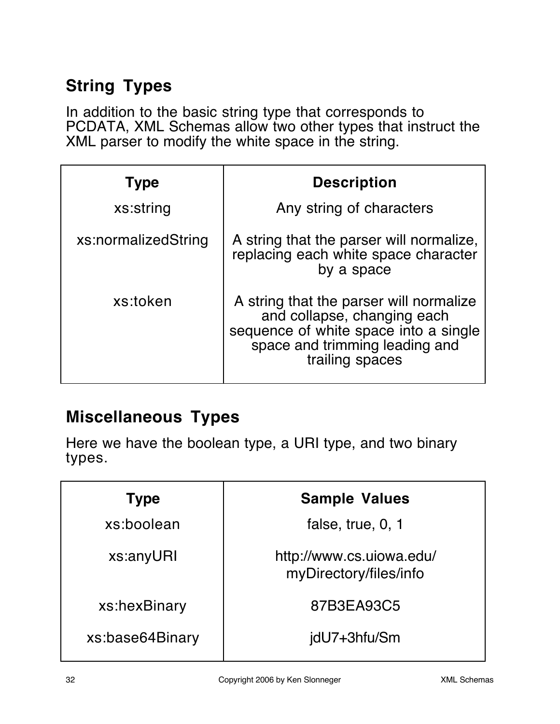### **String Types**

In addition to the basic string type that corresponds to PCDATA, XML Schemas allow two other types that instruct the XML parser to modify the white space in the string.

| <b>Type</b>         | <b>Description</b>                                                                                                                                                   |
|---------------------|----------------------------------------------------------------------------------------------------------------------------------------------------------------------|
| xs:string           | Any string of characters                                                                                                                                             |
| xs:normalizedString | A string that the parser will normalize,<br>replacing each white space character<br>by a space                                                                       |
| xs:token            | A string that the parser will normalize<br>and collapse, changing each<br>sequence of white space into a single<br>space and trimming leading and<br>trailing spaces |

### **Miscellaneous Types**

Here we have the boolean type, a URI type, and two binary types.

| <b>Type</b>     | <b>Sample Values</b>                               |
|-----------------|----------------------------------------------------|
| xs:boolean      | false, true, 0, 1                                  |
| xs:anyURI       | http://www.cs.uiowa.edu/<br>myDirectory/files/info |
| xs:hexBinary    | 87B3EA93C5                                         |
| xs:base64Binary | jdU7+3hfu/Sm                                       |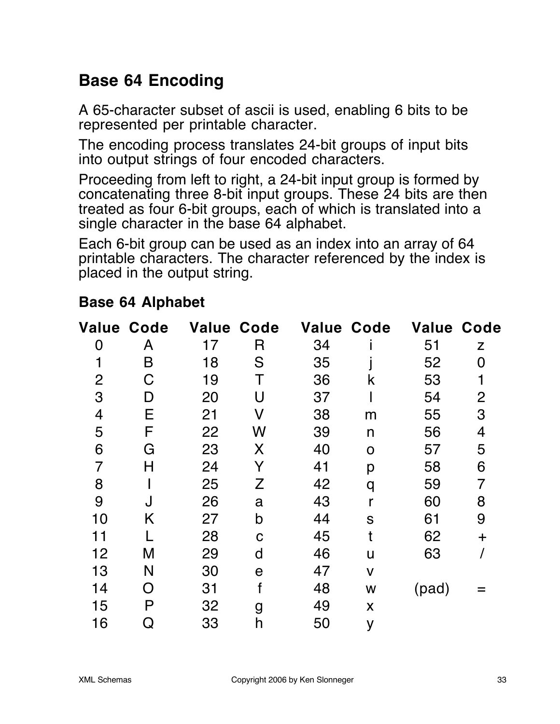### **Base 64 Encoding**

A 65-character subset of ascii is used, enabling 6 bits to be represented per printable character.

The encoding process translates 24-bit groups of input bits into output strings of four encoded characters.

Proceeding from left to right, a 24-bit input group is formed by concatenating three 8-bit input groups. These 24 bits are then treated as four 6-bit groups, each of which is translated into a single character in the base 64 alphabet.

Each 6-bit group can be used as an index into an array of 64 printable characters. The character referenced by the index is placed in the output string.

#### **Base 64 Alphabet**

| <b>Value Code</b> |   | <b>Value Code</b> |             | <b>Value Code</b> |              |       | <b>Value Code</b> |
|-------------------|---|-------------------|-------------|-------------------|--------------|-------|-------------------|
| 0                 | A | 17                | R           | 34                |              | 51    | Z                 |
| 1                 | B | 18                | S           | 35                |              | 52    | 0                 |
| $\overline{2}$    | C | 19                | Τ           | 36                | k            | 53    |                   |
| 3                 | D | 20                | U           | 37                |              | 54    | $\overline{2}$    |
| $\overline{4}$    | Е | 21                | V           | 38                | m            | 55    | 3                 |
| 5                 | F | 22                | W           | 39                | n            | 56    | 4                 |
| 6                 | G | 23                | X           | 40                | O            | 57    | 5                 |
| $\overline{7}$    | H | 24                | Y           | 41                | p            | 58    | 6                 |
| 8                 |   | 25                | Z           | 42                | q            | 59    | $\overline{7}$    |
| 9                 |   | 26                | a           | 43                |              | 60    | 8                 |
| 10                | Κ | 27                | b           | 44                | S            | 61    | 9                 |
| 11                |   | 28                | $\mathbf C$ | 45                |              | 62    | $\pm$             |
| 12                | M | 29                | d           | 46                | u            | 63    |                   |
| 13                | N | 30                | $\mathbf e$ | 47                | $\mathsf{V}$ |       |                   |
| 14                | O | 31                |             | 48                | W            | (pad) |                   |
| 15                | P | 32                | g           | 49                | X            |       |                   |
| 16                | Q | 33                | h           | 50                | y            |       |                   |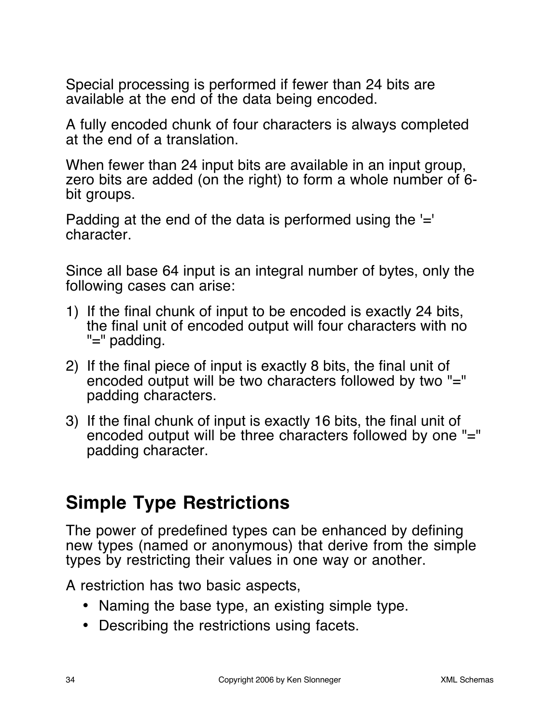Special processing is performed if fewer than 24 bits are available at the end of the data being encoded.

A fully encoded chunk of four characters is always completed at the end of a translation.

When fewer than 24 input bits are available in an input group, zero bits are added (on the right) to form a whole number of 6 bit groups.

Padding at the end of the data is performed using the '=' character.

Since all base 64 input is an integral number of bytes, only the following cases can arise:

- 1) If the final chunk of input to be encoded is exactly 24 bits, the final unit of encoded output will four characters with no "=" padding.
- 2) If the final piece of input is exactly 8 bits, the final unit of encoded output will be two characters followed by two "=" padding characters.
- 3) If the final chunk of input is exactly 16 bits, the final unit of encoded output will be three characters followed by one "=" padding character.

# **Simple Type Restrictions**

The power of predefined types can be enhanced by defining new types (named or anonymous) that derive from the simple types by restricting their values in one way or another.

A restriction has two basic aspects,

- Naming the base type, an existing simple type.
- Describing the restrictions using facets.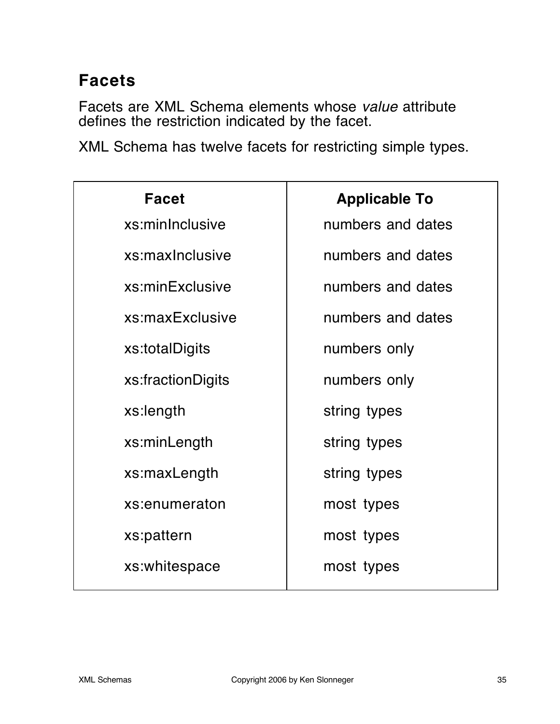# **Facets**

Facets are XML Schema elements whose value attribute defines the restriction indicated by the facet.

XML Schema has twelve facets for restricting simple types.

| <b>Facet</b>      | <b>Applicable To</b> |
|-------------------|----------------------|
| xs:minInclusive   | numbers and dates    |
| xs:maxInclusive   | numbers and dates    |
| xs:minExclusive   | numbers and dates    |
| xs:maxExclusive   | numbers and dates    |
| xs:totalDigits    | numbers only         |
| xs:fractionDigits | numbers only         |
| xs:length         | string types         |
| xs:minLength      | string types         |
| xs:maxLength      | string types         |
| xs:enumeraton     | most types           |
| xs:pattern        | most types           |
| xs:whitespace     | most types           |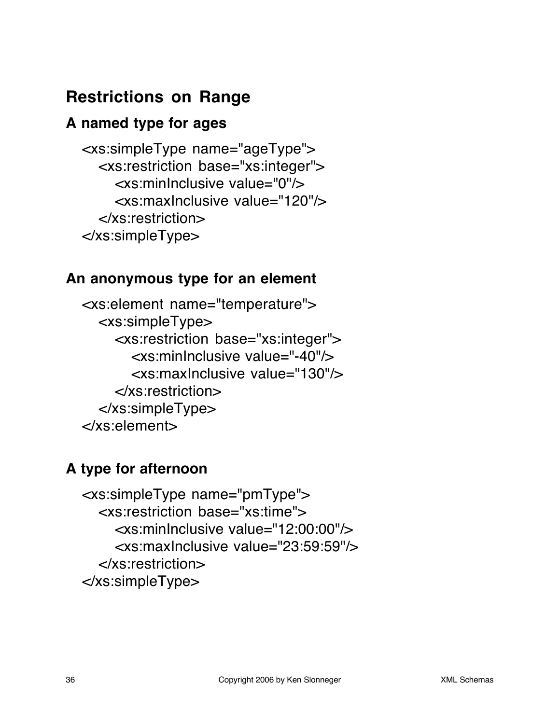### **Restrictions on Range**

#### **A named type for ages**

<xs:simpleType name="ageType"> <xs:restriction base="xs:integer"> <xs:minInclusive value="0"/> <xs:maxInclusive value="120"/> </xs:restriction> </xs:simpleType>

#### **An anonymous type for an element**

<xs:element name="temperature"> <xs:simpleType> <xs:restriction base="xs:integer"> <xs:minInclusive value="-40"/> <xs:maxInclusive value="130"/> </xs:restriction> </xs:simpleType> </xs:element>

### **A type for afternoon**

<xs:simpleType name="pmType"> <xs:restriction base="xs:time"> <xs:minInclusive value="12:00:00"/> <xs:maxInclusive value="23:59:59"/> </xs:restriction> </xs:simpleType>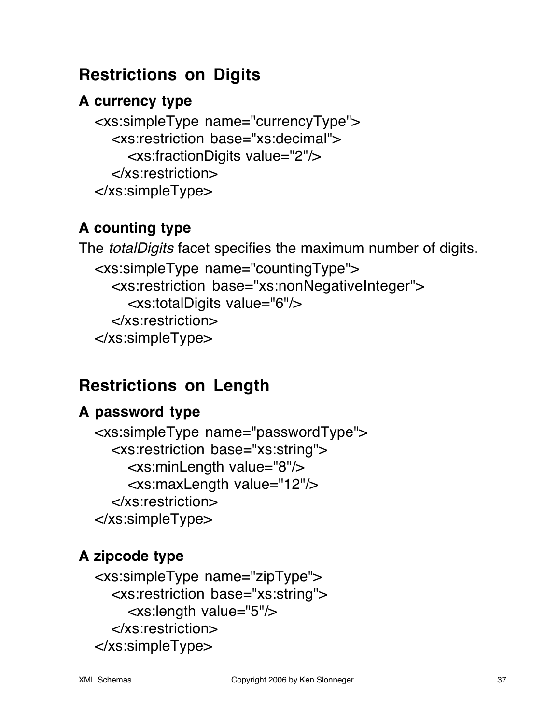### **Restrictions on Digits**

### **A currency type**

<xs:simpleType name="currencyType"> <xs:restriction base="xs:decimal"> <xs:fractionDigits value="2"/> </xs:restriction> </xs:simpleType>

### **A counting type**

The *totalDigits* facet specifies the maximum number of digits. <xs:simpleType name="countingType"> <xs:restriction base="xs:nonNegativeInteger"> <xs:totalDigits value="6"/> </xs:restriction> </xs:simpleType>

# **Restrictions on Length**

### **A password type**

<xs:simpleType name="passwordType"> <xs:restriction base="xs:string"> <xs:minLength value="8"/> <xs:maxLength value="12"/> </xs:restriction> </xs:simpleType>

### **A zipcode type**

<xs:simpleType name="zipType"> <xs:restriction base="xs:string"> <xs:length value="5"/> </xs:restriction> </xs:simpleType>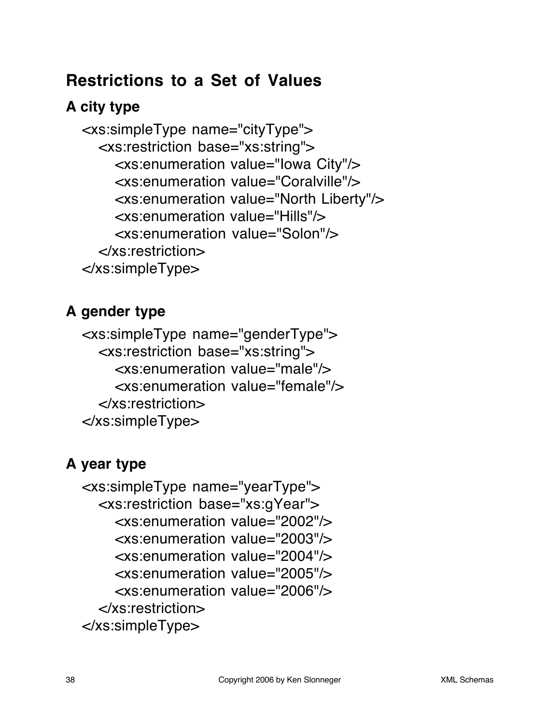### **Restrictions to a Set of Values**

### **A city type**

<xs:simpleType name="cityType"> <xs:restriction base="xs:string"> <xs:enumeration value="Iowa City"/> <xs:enumeration value="Coralville"/> <xs:enumeration value="North Liberty"/> <xs:enumeration value="Hills"/> <xs:enumeration value="Solon"/> </xs:restriction> </xs:simpleType>

### **A gender type**

<xs:simpleType name="genderType"> <xs:restriction base="xs:string"> <xs:enumeration value="male"/> <xs:enumeration value="female"/> </xs:restriction> </xs:simpleType>

### **A year type**

<xs:simpleType name="yearType"> <xs:restriction base="xs:gYear"> <xs:enumeration value="2002"/> <xs:enumeration value="2003"/> <xs:enumeration value="2004"/> <xs:enumeration value="2005"/> <xs:enumeration value="2006"/> </xs:restriction> </xs:simpleType>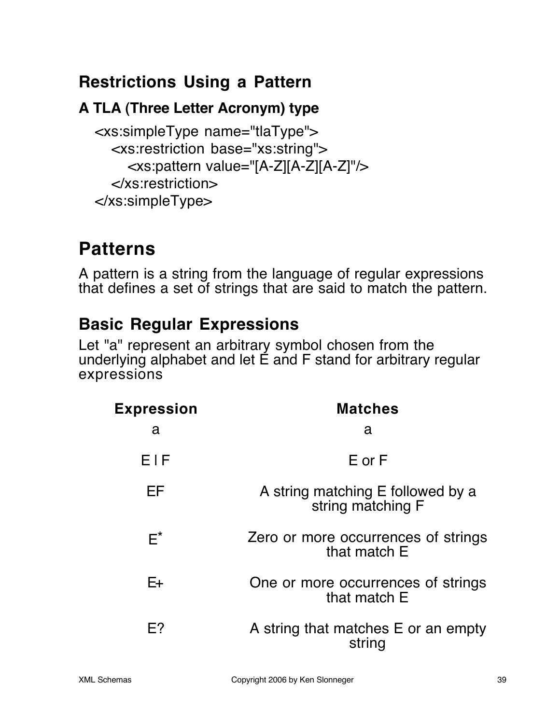### **Restrictions Using a Pattern**

### **A TLA (Three Letter Acronym) type**

<xs:simpleType name="tlaType"> <xs:restriction base="xs:string"> <xs:pattern value="[A-Z][A-Z][A-Z]"/> </xs:restriction> </xs:simpleType>

# **Patterns**

A pattern is a string from the language of regular expressions that defines a set of strings that are said to match the pattern.

### **Basic Regular Expressions**

Let "a" represent an arbitrary symbol chosen from the underlying alphabet and let  $\acute{E}$  and  $F$  stand for arbitrary regular expressions

| <b>Expression</b> | <b>Matches</b>                                         |
|-------------------|--------------------------------------------------------|
| a                 | a                                                      |
| EIF               | $E$ or $F$                                             |
| ΕF                | A string matching E followed by a<br>string matching F |
| $F^*$             | Zero or more occurrences of strings<br>that match E    |
| E+                | One or more occurrences of strings<br>that match E     |
| F?                | A string that matches E or an empty<br>string          |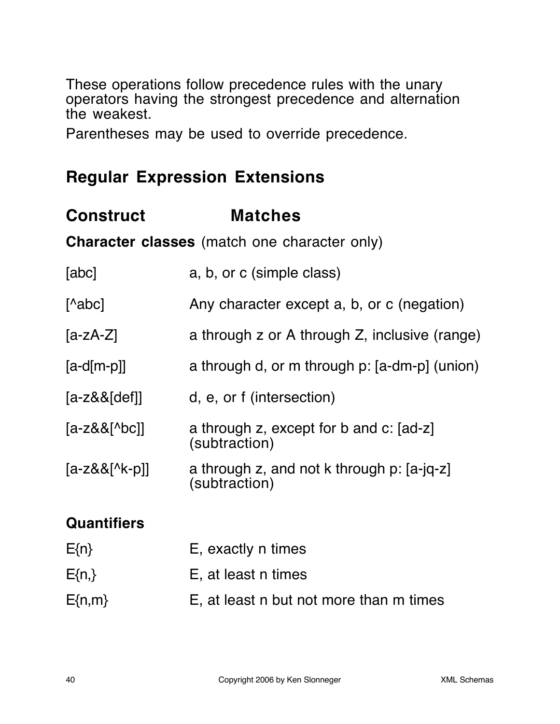These operations follow precedence rules with the unary operators having the strongest precedence and alternation the weakest.

Parentheses may be used to override precedence.

### **Regular Expression Extensions**

### **Construct Matches**

**Character classes** (match one character only)

| [abc] | a, b, or c (simple class) |
|-------|---------------------------|
|       |                           |

[^abc] Any character except a, b, or c (negation)

- [a-zA-Z] a through z or A through Z, inclusive (range)
- [a-d[m-p]] a through d, or m through p: [a-dm-p] (union)
- [a-z&&[def]] d, e, or f (intersection)
- [a-z&&[^bc]] a through z, except for b and c: [ad-z] (subtraction)
- $[a-z&8[^{\wedge}k-p]]$  a through z, and not k through p:  $[a-iq-z]$ (subtraction)

### **Quantifiers**

| $E\{n\}$   | E, exactly n times                      |
|------------|-----------------------------------------|
| $E\{n,\}$  | E, at least n times                     |
| $E\{n,m\}$ | E, at least n but not more than m times |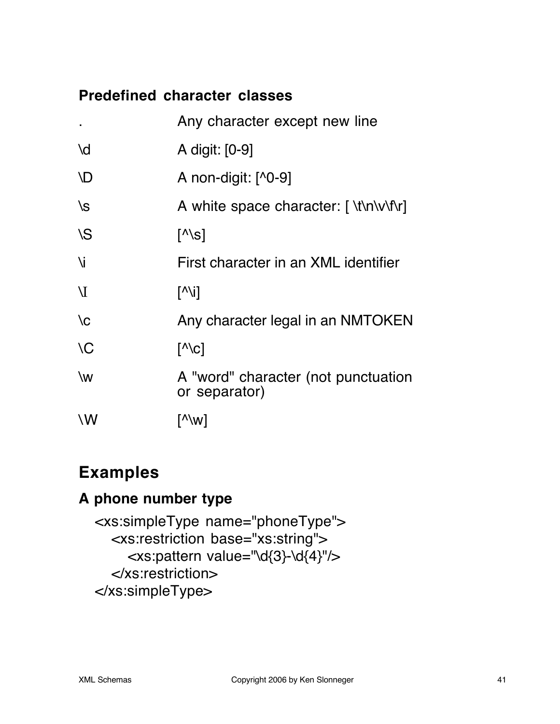#### **Predefined character classes**

|               | Any character except new line                        |
|---------------|------------------------------------------------------|
| \d            | A digit: [0-9]                                       |
| <b>ND</b>     | A non-digit: $[$ <sup>1</sup> 0-9]                   |
| $\sqrt{s}$    | A white space character: [ \t\n\v\f\r]               |
| \S            | $\lceil \wedge \setminus s \rceil$                   |
| Ni            | First character in an XML identifier                 |
| $\mathbf{V}$  | $\lceil N \setminus i \rceil$                        |
| $\setminus$ C | Any character legal in an NMTOKEN                    |
| $\setminus C$ | $\lceil \wedge \text{c} \rceil$                      |
| \w            | A "word" character (not punctuation<br>or separator) |
| \W            | [^\w]                                                |

### **Examples**

#### **A phone number type**

<xs:simpleType name="phoneType"> <xs:restriction base="xs:string"> <xs:pattern value="\d{3}-\d{4}"/> </xs:restriction> </xs:simpleType>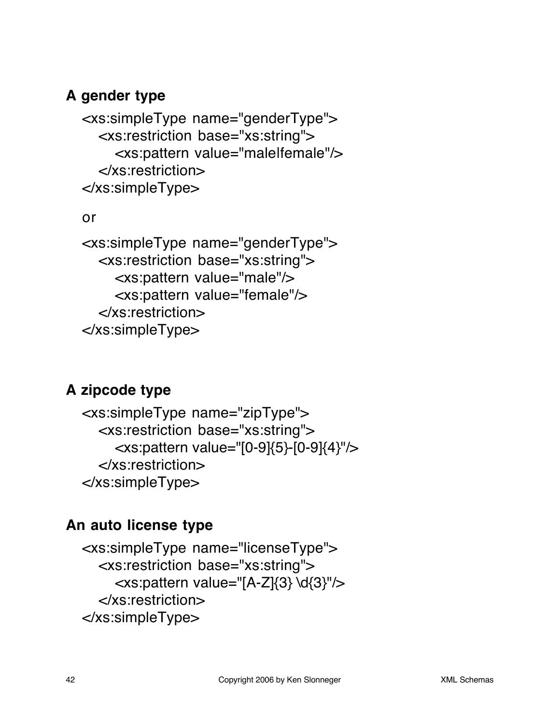#### **A gender type**

<xs:simpleType name="genderType"> <xs:restriction base="xs:string"> <xs:pattern value="male|female"/> </xs:restriction> </xs:simpleType>

#### or

<xs:simpleType name="genderType"> <xs:restriction base="xs:string"> <xs:pattern value="male"/> <xs:pattern value="female"/> </xs:restriction> </xs:simpleType>

### **A zipcode type**

<xs:simpleType name="zipType"> <xs:restriction base="xs:string"> <xs:pattern value="[0-9]{5}-[0-9]{4}"/> </xs:restriction> </xs:simpleType>

#### **An auto license type**

<xs:simpleType name="licenseType"> <xs:restriction base="xs:string"> <xs:pattern value="[A-Z]{3} \d{3}"/> </xs:restriction> </xs:simpleType>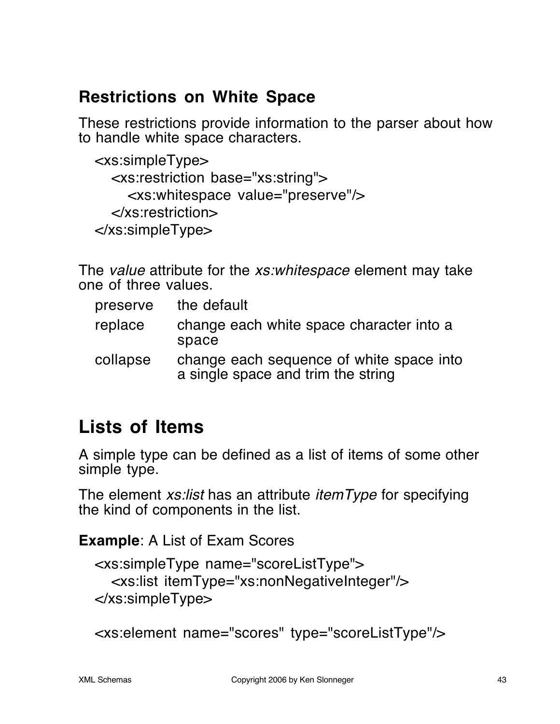### **Restrictions on White Space**

These restrictions provide information to the parser about how to handle white space characters.

```
<xs:simpleType>
  <xs:restriction base="xs:string">
    <xs:whitespace value="preserve"/>
  </xs:restriction>
</xs:simpleType>
```
The value attribute for the *xs:whitespace* element may take one of three values.

| preserve | the default                                                                    |
|----------|--------------------------------------------------------------------------------|
| replace  | change each white space character into a<br>space                              |
| collapse | change each sequence of white space into<br>a single space and trim the string |

# **Lists of Items**

A simple type can be defined as a list of items of some other simple type.

The element *xs:list* has an attribute *itemType* for specifying the kind of components in the list.

**Example**: A List of Exam Scores

```
<xs:simpleType name="scoreListType">
  <xs:list itemType="xs:nonNegativeInteger"/>
</xs:simpleType>
```

```
<xs:element name="scores" type="scoreListType"/>
```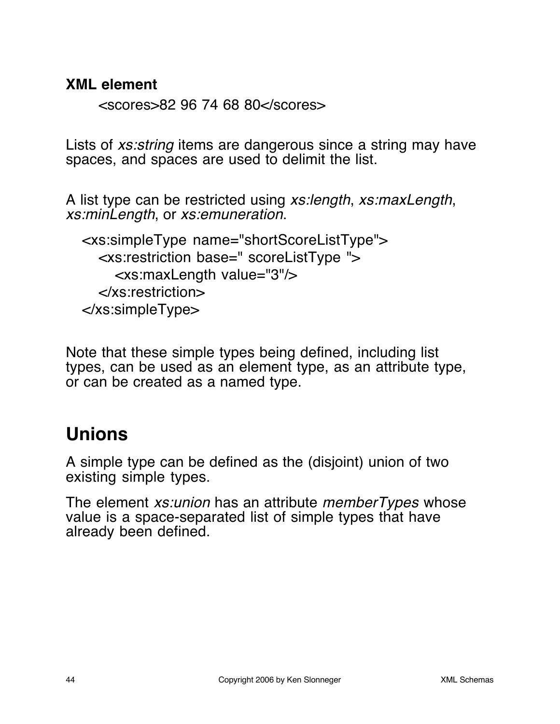#### **XML element**

<scores>82 96 74 68 80</scores>

Lists of *xs:string* items are dangerous since a string may have spaces, and spaces are used to delimit the list.

A list type can be restricted using xs:length, xs:maxLength, xs:minLength, or xs:emuneration.

```
<xs:simpleType name="shortScoreListType">
  <xs:restriction base=" scoreListType ">
    <xs:maxLength value="3"/>
  </xs:restriction>
</xs:simpleType>
```
Note that these simple types being defined, including list types, can be used as an element type, as an attribute type, or can be created as a named type.

# **Unions**

A simple type can be defined as the (disjoint) union of two existing simple types.

The element *xs:union* has an attribute *memberTypes* whose value is a space-separated list of simple types that have already been defined.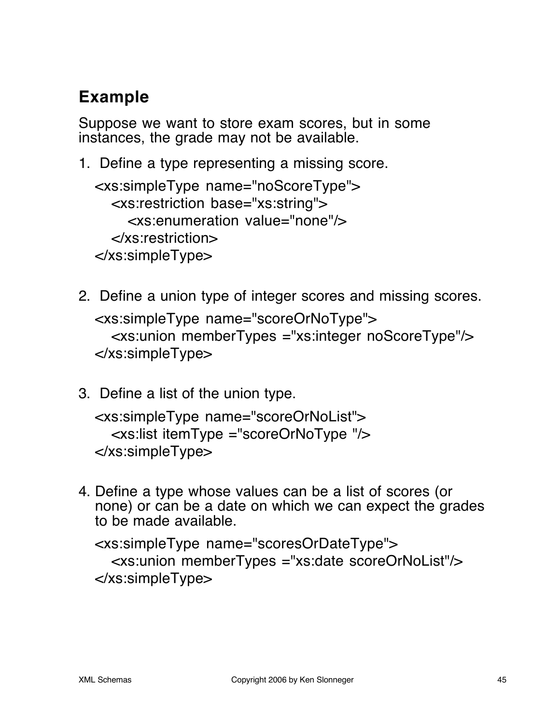# **Example**

Suppose we want to store exam scores, but in some instances, the grade may not be available.

1. Define a type representing a missing score.

<xs:simpleType name="noScoreType"> <xs:restriction base="xs:string"> <xs:enumeration value="none"/> </xs:restriction> </xs:simpleType>

- 2. Define a union type of integer scores and missing scores. <xs:simpleType name="scoreOrNoType"> <xs:union memberTypes ="xs:integer noScoreType"/> </xs:simpleType>
- 3. Define a list of the union type.

```
<xs:simpleType name="scoreOrNoList">
  <xs:list itemType ="scoreOrNoType "/>
</xs:simpleType>
```
4. Define a type whose values can be a list of scores (or none) or can be a date on which we can expect the grades to be made available.

```
<xs:simpleType name="scoresOrDateType">
  <xs:union memberTypes ="xs:date scoreOrNoList"/>
</xs:simpleType>
```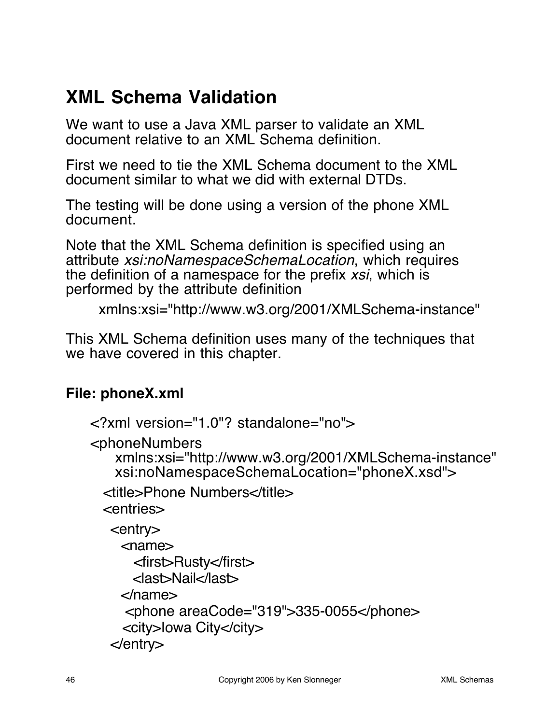# **XML Schema Validation**

We want to use a Java XML parser to validate an XML document relative to an XML Schema definition.

First we need to tie the XML Schema document to the XML document similar to what we did with external DTDs.

The testing will be done using a version of the phone XML document.

Note that the XML Schema definition is specified using an attribute xsi:noNamespaceSchemaLocation, which requires the definition of a namespace for the prefix xsi, which is performed by the attribute definition

```
xmlns:xsi="http://www.w3.org/2001/XMLSchema-instance"
```
This XML Schema definition uses many of the techniques that we have covered in this chapter.

#### **File: phoneX.xml**

```
<?xml version="1.0"? standalone="no">
<phoneNumbers
   xmlns:xsi="http://www.w3.org/2001/XMLSchema-instance"
   xsi:noNamespaceSchemaLocation="phoneX.xsd">
 <title>Phone Numbers</title>
  <entries>
   <entry>
     <name>
       <first>Rusty</first>
       <last>Nail</last>
     </name>
      <phone areaCode="319">335-0055</phone>
     <city>Iowa City</city>
   </entry>
```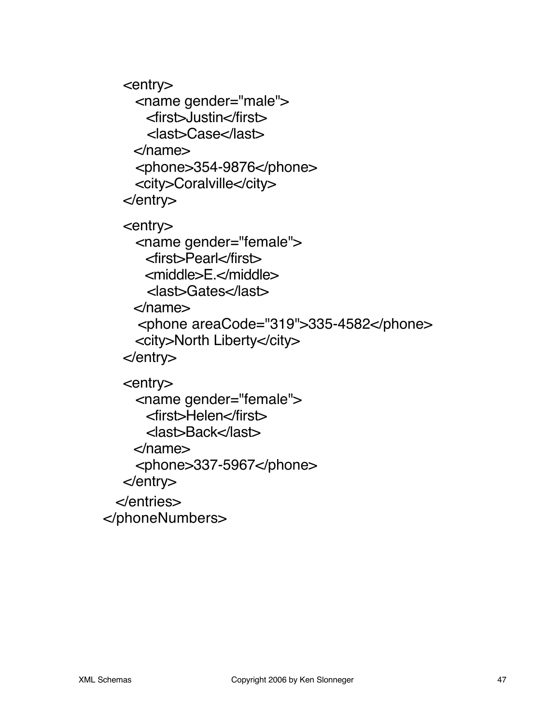<entry> <name gender="male"> <first>Justin</first> <last>Case</last> </name> <phone>354-9876</phone> <city>Coralville</city> </entry> <entry> <name gender="female"> <first>Pearl</first> <middle>E.</middle> <last>Gates</last> </name> <phone areaCode="319">335-4582</phone> <city>North Liberty</city> </entry> <entry> <name gender="female"> <first>Helen</first> <last>Back</last> </name> <phone>337-5967</phone> </entry> </entries> </phoneNumbers>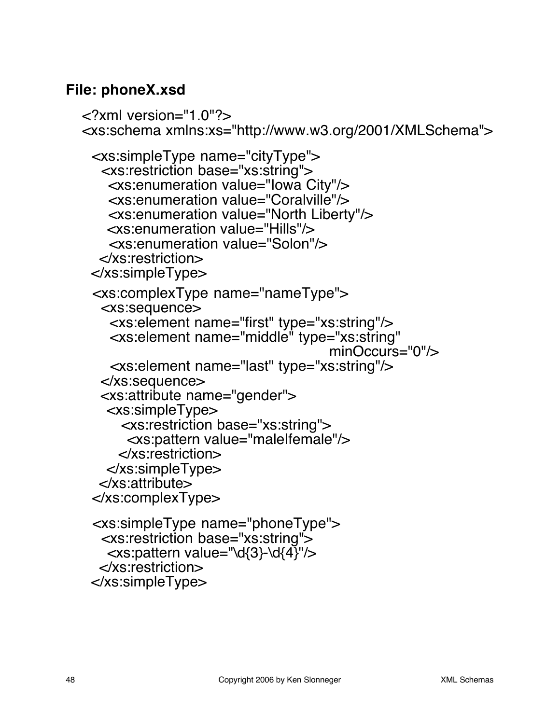#### **File: phoneX.xsd**

```
<?xml version="1.0"?>
<xs:schema xmlns:xs="http://www.w3.org/2001/XMLSchema">
  <xs:simpleType name="cityType">
   <xs:restriction base="xs:string">
     <xs:enumeration value="Iowa City"/>
     <xs:enumeration value="Coralville"/>
     <xs:enumeration value="North Liberty"/>
    <xs:enumeration value="Hills"/>
     <xs:enumeration value="Solon"/>
   </xs:restriction>
  </xs:simpleType>
  <xs:complexType name="nameType">
   <xs:sequence>
     <xs:element name="first" type="xs:string"/>
     <xs:element name="middle" type="xs:string"
                                      minOccurs="0"/>
     <xs:element name="last" type="xs:string"/>
   </xs:sequence>
   <xs:attribute name="gender">
    <xs:simpleType>
       <xs:restriction base="xs:string">
       <xs:pattern value="male|female"/>
      </xs:restriction>
    </xs:simpleType>
   </xs:attribute>
  </xs:complexType>
  <xs:simpleType name="phoneType">
   <xs:restriction base="xs:string">
   \langle x \rangles:pattern value="\d{3}-\d{4}"/>
   </xs:restriction>
  </xs:simpleType>
```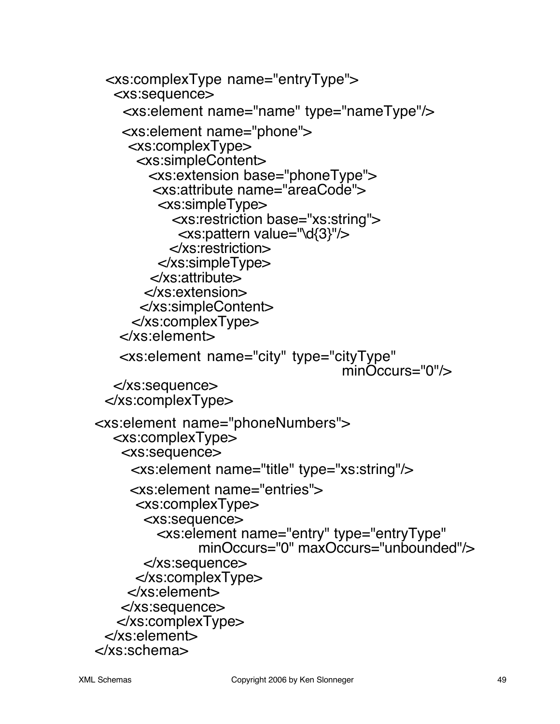<xs:complexType name="entryType"> <xs:sequence> <xs:element name="name" type="nameType"/> <xs:element name="phone"> <xs:complexType> <xs:simpleContent> <xs:extension base="phoneType"> <xs:attribute name="areaCode"> <xs:simpleType> <xs:restriction base="xs:string"> <xs:pattern value="\d{3}"/> </xs:restriction> </xs:simpleType> </xs:attribute> </xs:extension> </xs:simpleContent> </xs:complexType> </xs:element> <xs:element name="city" type="cityType" minOccurs="0"/> </xs:sequence> </xs:complexType> <xs:element name="phoneNumbers"> <xs:complexType> <xs:sequence> <xs:element name="title" type="xs:string"/> <xs:element name="entries"> <xs:complexType> <xs:sequence> <xs:element name="entry" type="entryType" minOccurs="0" maxOccurs="unbounded"/> </xs:sequence> </xs:complexType> </xs:element> </xs:sequence> </xs:complexType> </xs:element> </xs:schema>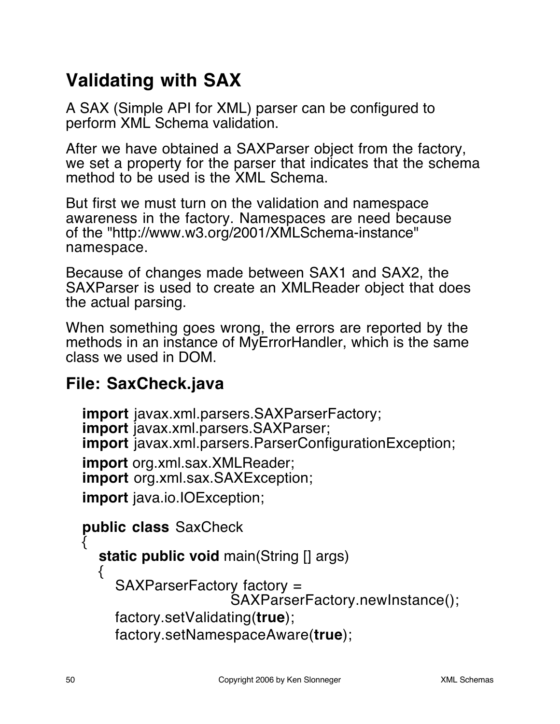# **Validating with SAX**

A SAX (Simple API for XML) parser can be configured to perform XML Schema validation.

After we have obtained a SAXParser object from the factory, we set a property for the parser that indicates that the schema method to be used is the XML Schema.

But first we must turn on the validation and namespace awareness in the factory. Namespaces are need because of the "http://www.w3.org/2001/XMLSchema-instance" namespace.

Because of changes made between SAX1 and SAX2, the SAXParser is used to create an XMLReader object that does the actual parsing.

When something goes wrong, the errors are reported by the methods in an instance of MyErrorHandler, which is the same class we used in DOM.

### **File: SaxCheck.java**

**import** javax.xml.parsers.SAXParserFactory; **import** javax.xml.parsers.SAXParser; **import** javax.xml.parsers.ParserConfigurationException;

**import** org.xml.sax.XMLReader; **import** org.xml.sax.SAXException;

**import** java.io.IOException;

**public class** SaxCheck {

**static public void** main(String [] args)

SAXParserFactory factory = SAXParserFactory.newInstance(); factory.setValidating(**true**);

```
factory.setNamespaceAware(true);
```
{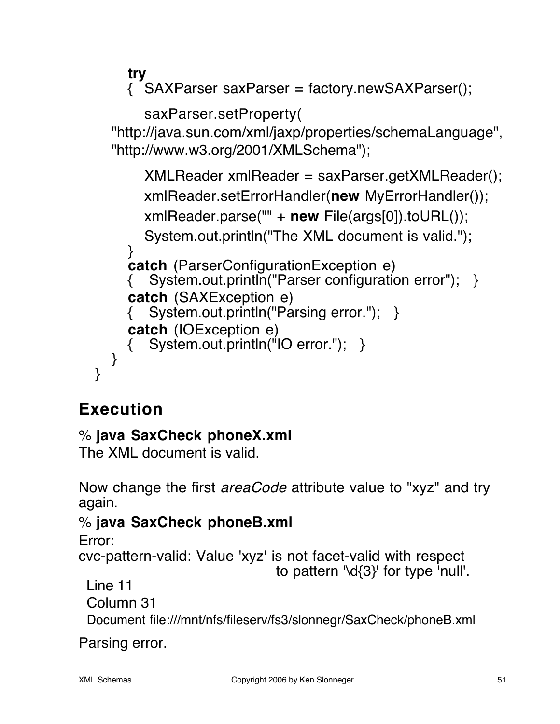**try**  $\frac{1}{2}$  SAXParser saxParser = factory.newSAXParser();

```
saxParser.setProperty(
```
"http://java.sun.com/xml/jaxp/properties/schemaLanguage", "http://www.w3.org/2001/XMLSchema");

```
XMLReader xmlReader = saxParser.getXMLReader();
    xmlReader.setErrorHandler(new MyErrorHandler());
    xmlReader.parse("" + new File(args[0]).toURL());
    System.out.println("The XML document is valid.");
  }
  catch (ParserConfigurationException e)
  { System.out.println("Parser configuration error"); }
  catch (SAXException e)
     System.out.println("Parsing error."); }
  catch (IOException e)
     System.out.println("IO error."); }
}
```
# **Execution**

}

### % **java SaxCheck phoneX.xml**

The XML document is valid.

Now change the first *areaCode* attribute value to "xyz" and try again.

### % **java SaxCheck phoneB.xml**

Error:

cvc-pattern-valid: Value 'xyz' is not facet-valid with respect

to pattern '\d{3}' for type 'null'.

Line 11

Column 31

Document file:///mnt/nfs/fileserv/fs3/slonnegr/SaxCheck/phoneB.xml

Parsing error.